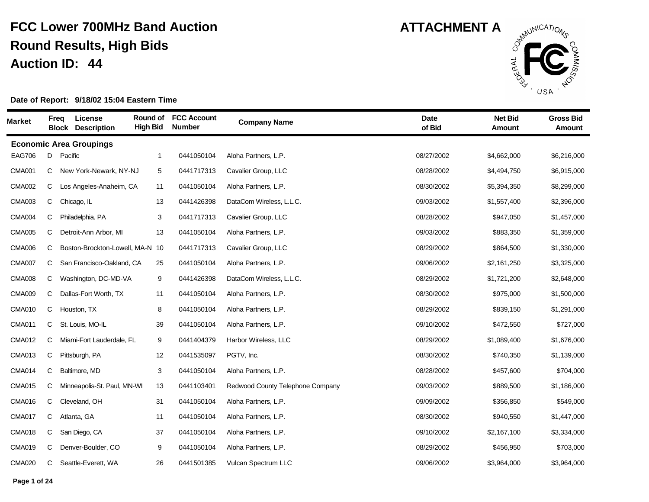

| <b>Market</b> | Freq | <b>License</b><br><b>Block Description</b> | Round of<br><b>High Bid</b> | <b>FCC Account</b><br><b>Number</b> | <b>Company Name</b>              | <b>Date</b><br>of Bid | <b>Net Bid</b><br>Amount | <b>Gross Bid</b><br><b>Amount</b> |
|---------------|------|--------------------------------------------|-----------------------------|-------------------------------------|----------------------------------|-----------------------|--------------------------|-----------------------------------|
|               |      | <b>Economic Area Groupings</b>             |                             |                                     |                                  |                       |                          |                                   |
| <b>EAG706</b> | D    | Pacific                                    | $\mathbf 1$                 | 0441050104                          | Aloha Partners, L.P.             | 08/27/2002            | \$4,662,000              | \$6,216,000                       |
| <b>CMA001</b> | C    | New York-Newark, NY-NJ                     | 5                           | 0441717313                          | Cavalier Group, LLC              | 08/28/2002            | \$4,494,750              | \$6,915,000                       |
| <b>CMA002</b> | C    | Los Angeles-Anaheim, CA                    | 11                          | 0441050104                          | Aloha Partners, L.P.             | 08/30/2002            | \$5,394,350              | \$8,299,000                       |
| <b>CMA003</b> | C    | Chicago, IL                                | 13                          | 0441426398                          | DataCom Wireless, L.L.C.         | 09/03/2002            | \$1,557,400              | \$2,396,000                       |
| <b>CMA004</b> | C    | Philadelphia, PA                           | 3                           | 0441717313                          | Cavalier Group, LLC              | 08/28/2002            | \$947,050                | \$1,457,000                       |
| <b>CMA005</b> | C    | Detroit-Ann Arbor, MI                      | 13                          | 0441050104                          | Aloha Partners, L.P.             | 09/03/2002            | \$883,350                | \$1,359,000                       |
| <b>CMA006</b> | C    | Boston-Brockton-Lowell, MA-N 10            |                             | 0441717313                          | Cavalier Group, LLC              | 08/29/2002            | \$864,500                | \$1,330,000                       |
| <b>CMA007</b> | C    | San Francisco-Oakland, CA                  | 25                          | 0441050104                          | Aloha Partners, L.P.             | 09/06/2002            | \$2,161,250              | \$3,325,000                       |
| <b>CMA008</b> | C    | Washington, DC-MD-VA                       | 9                           | 0441426398                          | DataCom Wireless, L.L.C.         | 08/29/2002            | \$1,721,200              | \$2,648,000                       |
| <b>CMA009</b> | C    | Dallas-Fort Worth, TX                      | 11                          | 0441050104                          | Aloha Partners, L.P.             | 08/30/2002            | \$975,000                | \$1,500,000                       |
| <b>CMA010</b> | C    | Houston, TX                                | 8                           | 0441050104                          | Aloha Partners, L.P.             | 08/29/2002            | \$839,150                | \$1,291,000                       |
| <b>CMA011</b> | C    | St. Louis, MO-IL                           | 39                          | 0441050104                          | Aloha Partners, L.P.             | 09/10/2002            | \$472,550                | \$727,000                         |
| <b>CMA012</b> | С    | Miami-Fort Lauderdale, FL                  | 9                           | 0441404379                          | Harbor Wireless, LLC             | 08/29/2002            | \$1,089,400              | \$1,676,000                       |
| <b>CMA013</b> | С    | Pittsburgh, PA                             | 12                          | 0441535097                          | PGTV, Inc.                       | 08/30/2002            | \$740,350                | \$1,139,000                       |
| <b>CMA014</b> | C    | Baltimore, MD                              | 3                           | 0441050104                          | Aloha Partners, L.P.             | 08/28/2002            | \$457,600                | \$704,000                         |
| <b>CMA015</b> | C    | Minneapolis-St. Paul, MN-WI                | 13                          | 0441103401                          | Redwood County Telephone Company | 09/03/2002            | \$889,500                | \$1,186,000                       |
| <b>CMA016</b> | С    | Cleveland, OH                              | 31                          | 0441050104                          | Aloha Partners, L.P.             | 09/09/2002            | \$356,850                | \$549,000                         |
| <b>CMA017</b> | C    | Atlanta, GA                                | 11                          | 0441050104                          | Aloha Partners, L.P.             | 08/30/2002            | \$940,550                | \$1,447,000                       |
| <b>CMA018</b> | C    | San Diego, CA                              | 37                          | 0441050104                          | Aloha Partners, L.P.             | 09/10/2002            | \$2,167,100              | \$3,334,000                       |
| <b>CMA019</b> | C    | Denver-Boulder, CO                         | 9                           | 0441050104                          | Aloha Partners, L.P.             | 08/29/2002            | \$456,950                | \$703,000                         |
| <b>CMA020</b> | C    | Seattle-Everett, WA                        | 26                          | 0441501385                          | Vulcan Spectrum LLC              | 09/06/2002            | \$3,964,000              | \$3,964,000                       |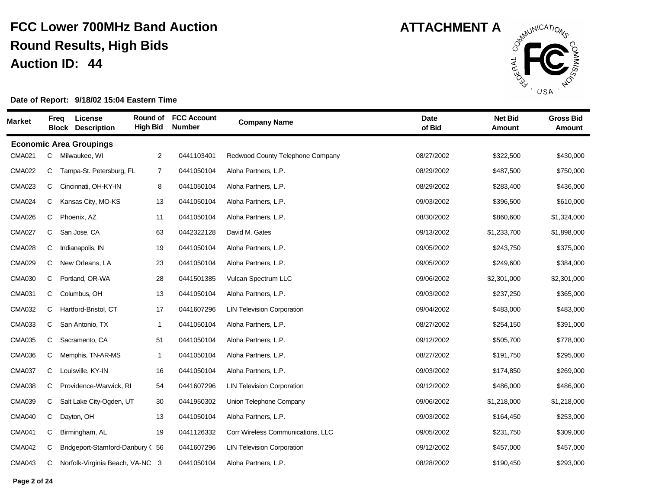

| <b>Market</b> | Freq | License<br><b>Block Description</b> | Round of<br><b>High Bid</b> | <b>FCC Account</b><br><b>Number</b> | <b>Company Name</b>               | <b>Date</b><br>of Bid | <b>Net Bid</b><br><b>Amount</b> | <b>Gross Bid</b><br><b>Amount</b> |
|---------------|------|-------------------------------------|-----------------------------|-------------------------------------|-----------------------------------|-----------------------|---------------------------------|-----------------------------------|
|               |      | <b>Economic Area Groupings</b>      |                             |                                     |                                   |                       |                                 |                                   |
| <b>CMA021</b> | С    | Milwaukee, WI                       | $\overline{2}$              | 0441103401                          | Redwood County Telephone Company  | 08/27/2002            | \$322,500                       | \$430,000                         |
| <b>CMA022</b> | С    | Tampa-St. Petersburg, FL            | 7                           | 0441050104                          | Aloha Partners, L.P.              | 08/29/2002            | \$487,500                       | \$750,000                         |
| <b>CMA023</b> | С    | Cincinnati, OH-KY-IN                | 8                           | 0441050104                          | Aloha Partners, L.P.              | 08/29/2002            | \$283,400                       | \$436,000                         |
| <b>CMA024</b> | C    | Kansas City, MO-KS                  | 13                          | 0441050104                          | Aloha Partners, L.P.              | 09/03/2002            | \$396,500                       | \$610,000                         |
| <b>CMA026</b> | C    | Phoenix, AZ                         | 11                          | 0441050104                          | Aloha Partners, L.P.              | 08/30/2002            | \$860,600                       | \$1,324,000                       |
| <b>CMA027</b> | C    | San Jose, CA                        | 63                          | 0442322128                          | David M. Gates                    | 09/13/2002            | \$1,233,700                     | \$1,898,000                       |
| <b>CMA028</b> | С    | Indianapolis, IN                    | 19                          | 0441050104                          | Aloha Partners, L.P.              | 09/05/2002            | \$243,750                       | \$375,000                         |
| <b>CMA029</b> | С    | New Orleans, LA                     | 23                          | 0441050104                          | Aloha Partners, L.P.              | 09/05/2002            | \$249,600                       | \$384,000                         |
| <b>CMA030</b> | C    | Portland, OR-WA                     | 28                          | 0441501385                          | Vulcan Spectrum LLC               | 09/06/2002            | \$2,301,000                     | \$2,301,000                       |
| <b>CMA031</b> | C    | Columbus, OH                        | 13                          | 0441050104                          | Aloha Partners, L.P.              | 09/03/2002            | \$237,250                       | \$365,000                         |
| <b>CMA032</b> | С    | Hartford-Bristol, CT                | 17                          | 0441607296                          | <b>LIN Television Corporation</b> | 09/04/2002            | \$483,000                       | \$483,000                         |
| <b>CMA033</b> | С    | San Antonio, TX                     | $\overline{1}$              | 0441050104                          | Aloha Partners, L.P.              | 08/27/2002            | \$254,150                       | \$391,000                         |
| <b>CMA035</b> | С    | Sacramento, CA                      | 51                          | 0441050104                          | Aloha Partners, L.P.              | 09/12/2002            | \$505,700                       | \$778,000                         |
| <b>CMA036</b> | С    | Memphis, TN-AR-MS                   | $\overline{1}$              | 0441050104                          | Aloha Partners, L.P.              | 08/27/2002            | \$191,750                       | \$295,000                         |
| <b>CMA037</b> | С    | Louisville, KY-IN                   | 16                          | 0441050104                          | Aloha Partners, L.P.              | 09/03/2002            | \$174,850                       | \$269,000                         |
| <b>CMA038</b> | C    | Providence-Warwick, RI              | 54                          | 0441607296                          | <b>LIN Television Corporation</b> | 09/12/2002            | \$486,000                       | \$486,000                         |
| <b>CMA039</b> | С    | Salt Lake City-Ogden, UT            | 30                          | 0441950302                          | Union Telephone Company           | 09/06/2002            | \$1,218,000                     | \$1,218,000                       |
| <b>CMA040</b> | C    | Dayton, OH                          | 13                          | 0441050104                          | Aloha Partners, L.P.              | 09/03/2002            | \$164,450                       | \$253,000                         |
| <b>CMA041</b> | С    | Birmingham, AL                      | 19                          | 0441126332                          | Corr Wireless Communications, LLC | 09/05/2002            | \$231,750                       | \$309,000                         |
| <b>CMA042</b> | С    | Bridgeport-Stamford-Danbury (56     |                             | 0441607296                          | <b>LIN Television Corporation</b> | 09/12/2002            | \$457,000                       | \$457,000                         |
| <b>CMA043</b> | С    | Norfolk-Virginia Beach, VA-NC 3     |                             | 0441050104                          | Aloha Partners, L.P.              | 08/28/2002            | \$190,450                       | \$293,000                         |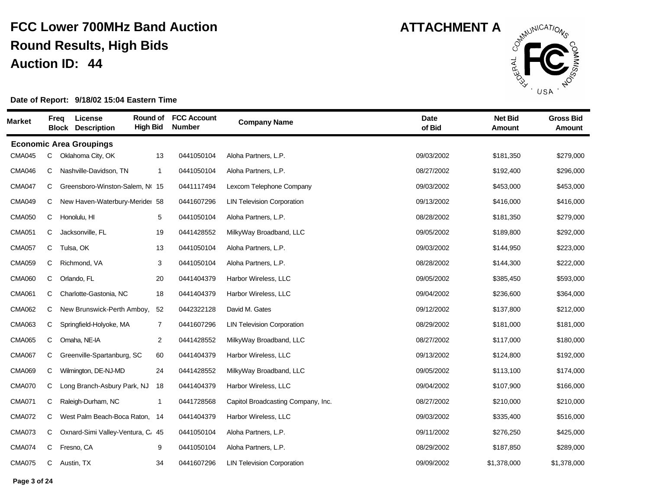

| <b>Market</b> |   | <b>Freq</b> | License<br><b>Block Description</b> | Round of<br><b>High Bid</b> | <b>FCC Account</b><br><b>Number</b> | <b>Company Name</b>                | <b>Date</b><br>of Bid | <b>Net Bid</b><br><b>Amount</b> | <b>Gross Bid</b><br>Amount |
|---------------|---|-------------|-------------------------------------|-----------------------------|-------------------------------------|------------------------------------|-----------------------|---------------------------------|----------------------------|
|               |   |             | <b>Economic Area Groupings</b>      |                             |                                     |                                    |                       |                                 |                            |
| <b>CMA045</b> | C |             | Oklahoma City, OK                   | 13                          | 0441050104                          | Aloha Partners, L.P.               | 09/03/2002            | \$181,350                       | \$279,000                  |
| <b>CMA046</b> | C |             | Nashville-Davidson, TN              | $\mathbf{1}$                | 0441050104                          | Aloha Partners, L.P.               | 08/27/2002            | \$192,400                       | \$296,000                  |
| <b>CMA047</b> | C |             | Greensboro-Winston-Salem, Nt 15     |                             | 0441117494                          | Lexcom Telephone Company           | 09/03/2002            | \$453,000                       | \$453,000                  |
| <b>CMA049</b> | С |             | New Haven-Waterbury-Merider 58      |                             | 0441607296                          | <b>LIN Television Corporation</b>  | 09/13/2002            | \$416,000                       | \$416,000                  |
| <b>CMA050</b> | С |             | Honolulu, HI                        | 5                           | 0441050104                          | Aloha Partners, L.P.               | 08/28/2002            | \$181,350                       | \$279,000                  |
| <b>CMA051</b> | C |             | Jacksonville, FL                    | 19                          | 0441428552                          | MilkyWay Broadband, LLC            | 09/05/2002            | \$189,800                       | \$292,000                  |
| <b>CMA057</b> | C |             | Tulsa, OK                           | 13                          | 0441050104                          | Aloha Partners, L.P.               | 09/03/2002            | \$144,950                       | \$223,000                  |
| <b>CMA059</b> | C |             | Richmond, VA                        | 3                           | 0441050104                          | Aloha Partners, L.P.               | 08/28/2002            | \$144,300                       | \$222,000                  |
| <b>CMA060</b> | C |             | Orlando, FL                         | 20                          | 0441404379                          | Harbor Wireless, LLC               | 09/05/2002            | \$385,450                       | \$593,000                  |
| <b>CMA061</b> | C |             | Charlotte-Gastonia, NC              | 18                          | 0441404379                          | Harbor Wireless, LLC               | 09/04/2002            | \$236,600                       | \$364,000                  |
| <b>CMA062</b> | С |             | New Brunswick-Perth Amboy,          | 52                          | 0442322128                          | David M. Gates                     | 09/12/2002            | \$137,800                       | \$212,000                  |
| <b>CMA063</b> | С |             | Springfield-Holyoke, MA             | $\overline{7}$              | 0441607296                          | <b>LIN Television Corporation</b>  | 08/29/2002            | \$181,000                       | \$181,000                  |
| <b>CMA065</b> | C |             | Omaha, NE-IA                        | $\overline{2}$              | 0441428552                          | MilkyWay Broadband, LLC            | 08/27/2002            | \$117,000                       | \$180,000                  |
| <b>CMA067</b> | С |             | Greenville-Spartanburg, SC          | 60                          | 0441404379                          | Harbor Wireless, LLC               | 09/13/2002            | \$124,800                       | \$192,000                  |
| <b>CMA069</b> | С |             | Wilmington, DE-NJ-MD                | 24                          | 0441428552                          | MilkyWay Broadband, LLC            | 09/05/2002            | \$113,100                       | \$174,000                  |
| <b>CMA070</b> | C |             | Long Branch-Asbury Park, NJ         | 18                          | 0441404379                          | Harbor Wireless, LLC               | 09/04/2002            | \$107,900                       | \$166,000                  |
| <b>CMA071</b> | С |             | Raleigh-Durham, NC                  | $\mathbf{1}$                | 0441728568                          | Capitol Broadcasting Company, Inc. | 08/27/2002            | \$210,000                       | \$210,000                  |
| <b>CMA072</b> | C |             | West Palm Beach-Boca Raton,         | -14                         | 0441404379                          | Harbor Wireless, LLC               | 09/03/2002            | \$335,400                       | \$516,000                  |
| <b>CMA073</b> | С |             | Oxnard-Simi Valley-Ventura, C. 45   |                             | 0441050104                          | Aloha Partners, L.P.               | 09/11/2002            | \$276,250                       | \$425,000                  |
| <b>CMA074</b> | C |             | Fresno, CA                          | 9                           | 0441050104                          | Aloha Partners, L.P.               | 08/29/2002            | \$187,850                       | \$289,000                  |
| <b>CMA075</b> | С |             | Austin, TX                          | 34                          | 0441607296                          | <b>LIN Television Corporation</b>  | 09/09/2002            | \$1,378,000                     | \$1,378,000                |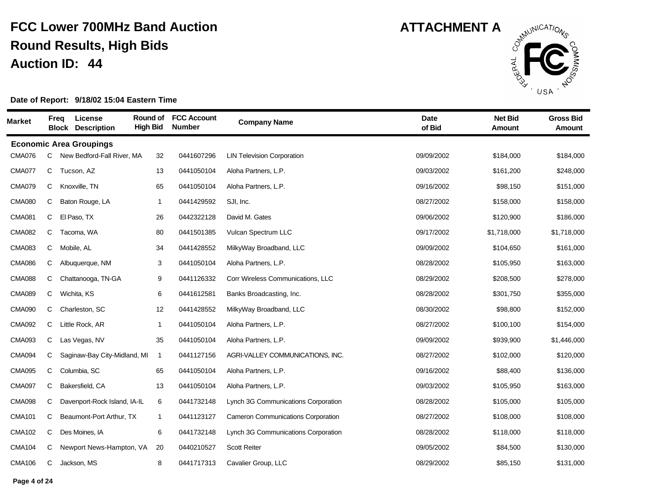

| <b>Market</b> |   | License<br>Freq<br><b>Block Description</b> | Round of<br><b>High Bid</b> | <b>FCC Account</b><br><b>Number</b> | <b>Company Name</b>                 | <b>Date</b><br>of Bid | <b>Net Bid</b><br><b>Amount</b> | <b>Gross Bid</b><br><b>Amount</b> |
|---------------|---|---------------------------------------------|-----------------------------|-------------------------------------|-------------------------------------|-----------------------|---------------------------------|-----------------------------------|
|               |   | <b>Economic Area Groupings</b>              |                             |                                     |                                     |                       |                                 |                                   |
| <b>CMA076</b> | С | New Bedford-Fall River, MA                  | 32                          | 0441607296                          | <b>LIN Television Corporation</b>   | 09/09/2002            | \$184,000                       | \$184,000                         |
| <b>CMA077</b> | C | Tucson, AZ                                  | 13                          | 0441050104                          | Aloha Partners, L.P.                | 09/03/2002            | \$161,200                       | \$248,000                         |
| <b>CMA079</b> | С | Knoxville, TN                               | 65                          | 0441050104                          | Aloha Partners, L.P.                | 09/16/2002            | \$98,150                        | \$151,000                         |
| <b>CMA080</b> | C | Baton Rouge, LA                             | $\overline{1}$              | 0441429592                          | SJI, Inc.                           | 08/27/2002            | \$158,000                       | \$158,000                         |
| <b>CMA081</b> | C | El Paso, TX                                 | 26                          | 0442322128                          | David M. Gates                      | 09/06/2002            | \$120,900                       | \$186,000                         |
| <b>CMA082</b> | C | Tacoma, WA                                  | 80                          | 0441501385                          | Vulcan Spectrum LLC                 | 09/17/2002            | \$1,718,000                     | \$1,718,000                       |
| <b>CMA083</b> | С | Mobile, AL                                  | 34                          | 0441428552                          | MilkyWay Broadband, LLC             | 09/09/2002            | \$104,650                       | \$161,000                         |
| <b>CMA086</b> | С | Albuquerque, NM                             | 3                           | 0441050104                          | Aloha Partners, L.P.                | 08/28/2002            | \$105,950                       | \$163,000                         |
| <b>CMA088</b> | C | Chattanooga, TN-GA                          | 9                           | 0441126332                          | Corr Wireless Communications, LLC   | 08/29/2002            | \$208,500                       | \$278,000                         |
| <b>CMA089</b> | C | Wichita, KS                                 | 6                           | 0441612581                          | Banks Broadcasting, Inc.            | 08/28/2002            | \$301,750                       | \$355,000                         |
| <b>CMA090</b> | С | Charleston, SC                              | 12                          | 0441428552                          | MilkyWay Broadband, LLC             | 08/30/2002            | \$98,800                        | \$152,000                         |
| <b>CMA092</b> | C | Little Rock, AR                             | $\overline{1}$              | 0441050104                          | Aloha Partners, L.P.                | 08/27/2002            | \$100,100                       | \$154,000                         |
| <b>CMA093</b> | С | Las Vegas, NV                               | 35                          | 0441050104                          | Aloha Partners, L.P.                | 09/09/2002            | \$939,900                       | \$1,446,000                       |
| <b>CMA094</b> | C | Saginaw-Bay City-Midland, MI                | $\overline{1}$              | 0441127156                          | AGRI-VALLEY COMMUNICATIONS, INC.    | 08/27/2002            | \$102,000                       | \$120,000                         |
| <b>CMA095</b> | C | Columbia, SC                                | 65                          | 0441050104                          | Aloha Partners, L.P.                | 09/16/2002            | \$88,400                        | \$136,000                         |
| <b>CMA097</b> | С | Bakersfield, CA                             | 13                          | 0441050104                          | Aloha Partners, L.P.                | 09/03/2002            | \$105,950                       | \$163,000                         |
| <b>CMA098</b> | С | Davenport-Rock Island, IA-IL                | 6                           | 0441732148                          | Lynch 3G Communications Corporation | 08/28/2002            | \$105,000                       | \$105,000                         |
| <b>CMA101</b> | С | Beaumont-Port Arthur, TX                    | $\mathbf{1}$                | 0441123127                          | Cameron Communications Corporation  | 08/27/2002            | \$108,000                       | \$108,000                         |
| <b>CMA102</b> | C | Des Moines, IA                              | 6                           | 0441732148                          | Lynch 3G Communications Corporation | 08/28/2002            | \$118,000                       | \$118,000                         |
| <b>CMA104</b> | С | Newport News-Hampton, VA                    | 20                          | 0440210527                          | <b>Scott Reiter</b>                 | 09/05/2002            | \$84,500                        | \$130,000                         |
| <b>CMA106</b> | С | Jackson, MS                                 | 8                           | 0441717313                          | Cavalier Group, LLC                 | 08/29/2002            | \$85,150                        | \$131,000                         |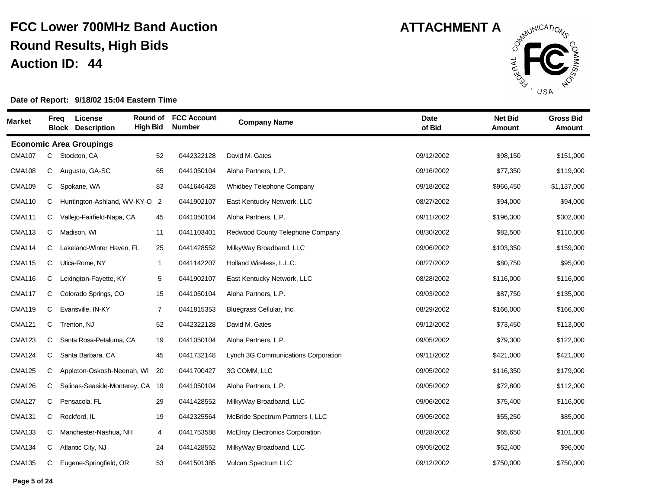

| <b>Market</b> | Freq | License<br><b>Block Description</b> | Round of<br><b>High Bid</b> | <b>FCC Account</b><br><b>Number</b> | <b>Company Name</b>                    | <b>Date</b><br>of Bid | <b>Net Bid</b><br><b>Amount</b> | <b>Gross Bid</b><br><b>Amount</b> |
|---------------|------|-------------------------------------|-----------------------------|-------------------------------------|----------------------------------------|-----------------------|---------------------------------|-----------------------------------|
|               |      | <b>Economic Area Groupings</b>      |                             |                                     |                                        |                       |                                 |                                   |
| <b>CMA107</b> | C    | Stockton, CA                        | 52                          | 0442322128                          | David M. Gates                         | 09/12/2002            | \$98,150                        | \$151,000                         |
| <b>CMA108</b> | C    | Augusta, GA-SC                      | 65                          | 0441050104                          | Aloha Partners, L.P.                   | 09/16/2002            | \$77,350                        | \$119,000                         |
| <b>CMA109</b> | C    | Spokane, WA                         | 83                          | 0441646428                          | <b>Whidbey Telephone Company</b>       | 09/18/2002            | \$966,450                       | \$1,137,000                       |
| <b>CMA110</b> | C    | Huntington-Ashland, WV-KY-O         | $\overline{2}$              | 0441902107                          | East Kentucky Network, LLC             | 08/27/2002            | \$94,000                        | \$94,000                          |
| <b>CMA111</b> | С    | Vallejo-Fairfield-Napa, CA          | 45                          | 0441050104                          | Aloha Partners, L.P.                   | 09/11/2002            | \$196,300                       | \$302,000                         |
| <b>CMA113</b> | C    | Madison, WI                         | 11                          | 0441103401                          | Redwood County Telephone Company       | 08/30/2002            | \$82,500                        | \$110,000                         |
| <b>CMA114</b> | C    | Lakeland-Winter Haven, FL           | 25                          | 0441428552                          | MilkyWay Broadband, LLC                | 09/06/2002            | \$103,350                       | \$159,000                         |
| <b>CMA115</b> | C    | Utica-Rome, NY                      | $\mathbf{1}$                | 0441142207                          | Holland Wireless, L.L.C.               | 08/27/2002            | \$80,750                        | \$95,000                          |
| <b>CMA116</b> | C    | Lexington-Fayette, KY               | 5                           | 0441902107                          | East Kentucky Network, LLC             | 08/28/2002            | \$116,000                       | \$116,000                         |
| <b>CMA117</b> | C    | Colorado Springs, CO                | 15                          | 0441050104                          | Aloha Partners, L.P.                   | 09/03/2002            | \$87,750                        | \$135,000                         |
| <b>CMA119</b> | C    | Evansville, IN-KY                   | $\overline{7}$              | 0441815353                          | Bluegrass Cellular, Inc.               | 08/29/2002            | \$166,000                       | \$166,000                         |
| <b>CMA121</b> | C    | Trenton, NJ                         | 52                          | 0442322128                          | David M. Gates                         | 09/12/2002            | \$73,450                        | \$113,000                         |
| <b>CMA123</b> | С    | Santa Rosa-Petaluma, CA             | 19                          | 0441050104                          | Aloha Partners, L.P.                   | 09/05/2002            | \$79,300                        | \$122,000                         |
| <b>CMA124</b> | C    | Santa Barbara, CA                   | 45                          | 0441732148                          | Lynch 3G Communications Corporation    | 09/11/2002            | \$421,000                       | \$421,000                         |
| <b>CMA125</b> | C    | Appleton-Oskosh-Neenah, WI          | 20                          | 0441700427                          | 3G COMM, LLC                           | 09/05/2002            | \$116,350                       | \$179,000                         |
| <b>CMA126</b> | C    | Salinas-Seaside-Monterey, CA        | -19                         | 0441050104                          | Aloha Partners, L.P.                   | 09/05/2002            | \$72,800                        | \$112,000                         |
| <b>CMA127</b> | C    | Pensacola, FL                       | 29                          | 0441428552                          | MilkyWay Broadband, LLC                | 09/06/2002            | \$75,400                        | \$116,000                         |
| <b>CMA131</b> | С    | Rockford, IL                        | 19                          | 0442325564                          | McBride Spectrum Partners I, LLC       | 09/05/2002            | \$55,250                        | \$85,000                          |
| <b>CMA133</b> | C    | Manchester-Nashua, NH               | 4                           | 0441753588                          | <b>McElroy Electronics Corporation</b> | 08/28/2002            | \$65,650                        | \$101,000                         |
| <b>CMA134</b> | C    | Atlantic City, NJ                   | 24                          | 0441428552                          | MilkyWay Broadband, LLC                | 09/05/2002            | \$62,400                        | \$96,000                          |
| <b>CMA135</b> | С    | Eugene-Springfield, OR              | 53                          | 0441501385                          | Vulcan Spectrum LLC                    | 09/12/2002            | \$750,000                       | \$750,000                         |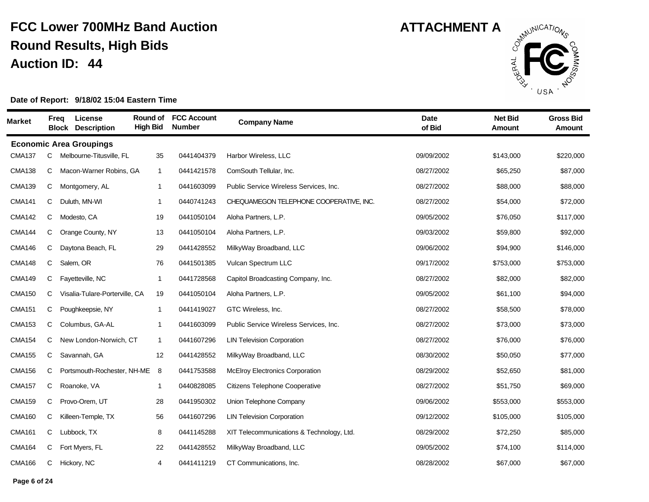

| Market        | <b>Freq</b> | License<br><b>Block Description</b> | Round of<br><b>High Bid</b> | <b>FCC Account</b><br><b>Number</b> | <b>Company Name</b>                       | <b>Date</b><br>of Bid | <b>Net Bid</b><br>Amount | <b>Gross Bid</b><br>Amount |
|---------------|-------------|-------------------------------------|-----------------------------|-------------------------------------|-------------------------------------------|-----------------------|--------------------------|----------------------------|
|               |             | <b>Economic Area Groupings</b>      |                             |                                     |                                           |                       |                          |                            |
| <b>CMA137</b> | C           | Melbourne-Titusville, FL            | 35                          | 0441404379                          | Harbor Wireless, LLC                      | 09/09/2002            | \$143,000                | \$220,000                  |
| <b>CMA138</b> | C           | Macon-Warner Robins, GA             | $\mathbf{1}$                | 0441421578                          | ComSouth Tellular, Inc.                   | 08/27/2002            | \$65,250                 | \$87,000                   |
| <b>CMA139</b> | С           | Montgomery, AL                      | $\mathbf{1}$                | 0441603099                          | Public Service Wireless Services, Inc.    | 08/27/2002            | \$88,000                 | \$88,000                   |
| <b>CMA141</b> | C           | Duluth, MN-WI                       | $\mathbf{1}$                | 0440741243                          | CHEQUAMEGON TELEPHONE COOPERATIVE, INC.   | 08/27/2002            | \$54,000                 | \$72,000                   |
| <b>CMA142</b> | C           | Modesto, CA                         | 19                          | 0441050104                          | Aloha Partners, L.P.                      | 09/05/2002            | \$76,050                 | \$117,000                  |
| <b>CMA144</b> | C           | Orange County, NY                   | 13                          | 0441050104                          | Aloha Partners, L.P.                      | 09/03/2002            | \$59,800                 | \$92,000                   |
| <b>CMA146</b> | C           | Daytona Beach, FL                   | 29                          | 0441428552                          | MilkyWay Broadband, LLC                   | 09/06/2002            | \$94,900                 | \$146,000                  |
| <b>CMA148</b> | C           | Salem, OR                           | 76                          | 0441501385                          | Vulcan Spectrum LLC                       | 09/17/2002            | \$753,000                | \$753,000                  |
| <b>CMA149</b> | C           | Fayetteville, NC                    | $\mathbf{1}$                | 0441728568                          | Capitol Broadcasting Company, Inc.        | 08/27/2002            | \$82,000                 | \$82,000                   |
| <b>CMA150</b> | С           | Visalia-Tulare-Porterville, CA      | 19                          | 0441050104                          | Aloha Partners, L.P.                      | 09/05/2002            | \$61,100                 | \$94,000                   |
| <b>CMA151</b> | С           | Poughkeepsie, NY                    | $\mathbf{1}$                | 0441419027                          | GTC Wireless, Inc.                        | 08/27/2002            | \$58,500                 | \$78,000                   |
| <b>CMA153</b> | C           | Columbus, GA-AL                     | $\mathbf{1}$                | 0441603099                          | Public Service Wireless Services, Inc.    | 08/27/2002            | \$73,000                 | \$73,000                   |
| <b>CMA154</b> | C           | New London-Norwich, CT              | $\mathbf{1}$                | 0441607296                          | <b>LIN Television Corporation</b>         | 08/27/2002            | \$76,000                 | \$76,000                   |
| <b>CMA155</b> | C           | Savannah, GA                        | 12                          | 0441428552                          | MilkyWay Broadband, LLC                   | 08/30/2002            | \$50,050                 | \$77,000                   |
| <b>CMA156</b> | C           | Portsmouth-Rochester, NH-ME         | 8                           | 0441753588                          | <b>McElroy Electronics Corporation</b>    | 08/29/2002            | \$52,650                 | \$81,000                   |
| <b>CMA157</b> | C           | Roanoke, VA                         | $\mathbf{1}$                | 0440828085                          | <b>Citizens Telephone Cooperative</b>     | 08/27/2002            | \$51,750                 | \$69,000                   |
| <b>CMA159</b> | C           | Provo-Orem, UT                      | 28                          | 0441950302                          | Union Telephone Company                   | 09/06/2002            | \$553,000                | \$553,000                  |
| <b>CMA160</b> | C           | Killeen-Temple, TX                  | 56                          | 0441607296                          | <b>LIN Television Corporation</b>         | 09/12/2002            | \$105,000                | \$105,000                  |
| <b>CMA161</b> | C           | Lubbock, TX                         | 8                           | 0441145288                          | XIT Telecommunications & Technology, Ltd. | 08/29/2002            | \$72,250                 | \$85,000                   |
| <b>CMA164</b> | C           | Fort Myers, FL                      | 22                          | 0441428552                          | MilkyWay Broadband, LLC                   | 09/05/2002            | \$74,100                 | \$114,000                  |
| <b>CMA166</b> | C           | Hickory, NC                         | 4                           | 0441411219                          | CT Communications, Inc.                   | 08/28/2002            | \$67,000                 | \$67,000                   |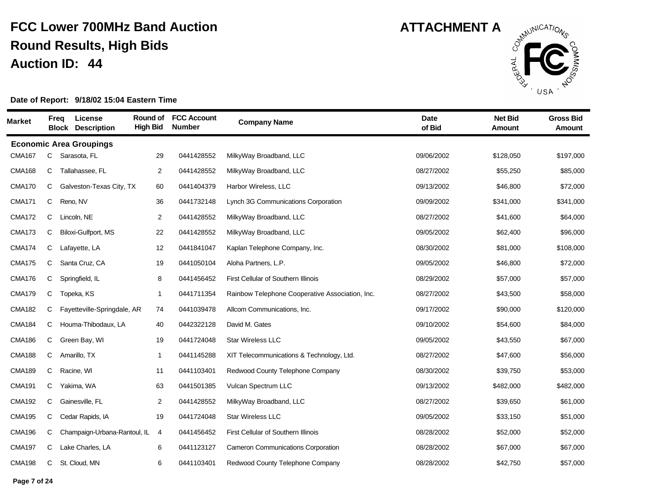

| Market        | Freq | License<br><b>Block Description</b> | Round of<br><b>High Bid</b> | <b>FCC Account</b><br><b>Number</b> | <b>Company Name</b>                             | <b>Date</b><br>of Bid | <b>Net Bid</b><br><b>Amount</b> | <b>Gross Bid</b><br>Amount |
|---------------|------|-------------------------------------|-----------------------------|-------------------------------------|-------------------------------------------------|-----------------------|---------------------------------|----------------------------|
|               |      | <b>Economic Area Groupings</b>      |                             |                                     |                                                 |                       |                                 |                            |
| <b>CMA167</b> | C    | Sarasota, FL                        | 29                          | 0441428552                          | MilkyWay Broadband, LLC                         | 09/06/2002            | \$128,050                       | \$197,000                  |
| <b>CMA168</b> | C    | Tallahassee. FL                     | 2                           | 0441428552                          | MilkyWay Broadband, LLC                         | 08/27/2002            | \$55,250                        | \$85,000                   |
| <b>CMA170</b> | C    | Galveston-Texas City, TX            | 60                          | 0441404379                          | Harbor Wireless, LLC                            | 09/13/2002            | \$46,800                        | \$72,000                   |
| <b>CMA171</b> | C    | Reno, NV                            | 36                          | 0441732148                          | Lynch 3G Communications Corporation             | 09/09/2002            | \$341,000                       | \$341,000                  |
| <b>CMA172</b> | C    | Lincoln, NE                         | $\overline{2}$              | 0441428552                          | MilkyWay Broadband, LLC                         | 08/27/2002            | \$41,600                        | \$64,000                   |
| <b>CMA173</b> | С    | Biloxi-Gulfport, MS                 | 22                          | 0441428552                          | MilkyWay Broadband, LLC                         | 09/05/2002            | \$62,400                        | \$96,000                   |
| <b>CMA174</b> | C    | Lafayette, LA                       | 12                          | 0441841047                          | Kaplan Telephone Company, Inc.                  | 08/30/2002            | \$81,000                        | \$108,000                  |
| <b>CMA175</b> | C    | Santa Cruz, CA                      | 19                          | 0441050104                          | Aloha Partners, L.P.                            | 09/05/2002            | \$46,800                        | \$72,000                   |
| <b>CMA176</b> | C    | Springfield, IL                     | 8                           | 0441456452                          | First Cellular of Southern Illinois             | 08/29/2002            | \$57,000                        | \$57,000                   |
| <b>CMA179</b> | C    | Topeka, KS                          | $\overline{1}$              | 0441711354                          | Rainbow Telephone Cooperative Association, Inc. | 08/27/2002            | \$43,500                        | \$58,000                   |
| <b>CMA182</b> | C    | Fayetteville-Springdale, AR         | 74                          | 0441039478                          | Allcom Communications, Inc.                     | 09/17/2002            | \$90,000                        | \$120,000                  |
| <b>CMA184</b> | C    | Houma-Thibodaux, LA                 | 40                          | 0442322128                          | David M. Gates                                  | 09/10/2002            | \$54,600                        | \$84,000                   |
| <b>CMA186</b> | C    | Green Bay, WI                       | 19                          | 0441724048                          | Star Wireless LLC                               | 09/05/2002            | \$43,550                        | \$67,000                   |
| <b>CMA188</b> | C    | Amarillo, TX                        | $\mathbf{1}$                | 0441145288                          | XIT Telecommunications & Technology, Ltd.       | 08/27/2002            | \$47,600                        | \$56,000                   |
| <b>CMA189</b> | C    | Racine, WI                          | 11                          | 0441103401                          | Redwood County Telephone Company                | 08/30/2002            | \$39,750                        | \$53,000                   |
| <b>CMA191</b> | C    | Yakima, WA                          | 63                          | 0441501385                          | Vulcan Spectrum LLC                             | 09/13/2002            | \$482,000                       | \$482,000                  |
| <b>CMA192</b> | C    | Gainesville, FL                     | $\overline{c}$              | 0441428552                          | MilkyWay Broadband, LLC                         | 08/27/2002            | \$39,650                        | \$61,000                   |
| <b>CMA195</b> | C    | Cedar Rapids, IA                    | 19                          | 0441724048                          | <b>Star Wireless LLC</b>                        | 09/05/2002            | \$33,150                        | \$51,000                   |
| <b>CMA196</b> | C    | Champaign-Urbana-Rantoul, IL        | -4                          | 0441456452                          | First Cellular of Southern Illinois             | 08/28/2002            | \$52,000                        | \$52,000                   |
| <b>CMA197</b> | C    | Lake Charles, LA                    | 6                           | 0441123127                          | <b>Cameron Communications Corporation</b>       | 08/28/2002            | \$67,000                        | \$67,000                   |
| <b>CMA198</b> | C    | St. Cloud, MN                       | 6                           | 0441103401                          | Redwood County Telephone Company                | 08/28/2002            | \$42,750                        | \$57,000                   |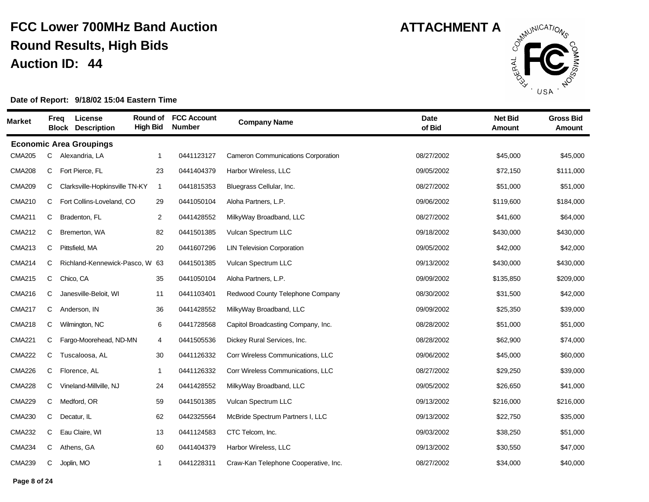

| <b>Market</b> |   | Freg       | License<br><b>Block Description</b> | Round of<br><b>High Bid</b> | <b>FCC Account</b><br><b>Number</b> | <b>Company Name</b>                       | <b>Date</b><br>of Bid | <b>Net Bid</b><br><b>Amount</b> | <b>Gross Bid</b><br><b>Amount</b> |
|---------------|---|------------|-------------------------------------|-----------------------------|-------------------------------------|-------------------------------------------|-----------------------|---------------------------------|-----------------------------------|
|               |   |            | <b>Economic Area Groupings</b>      |                             |                                     |                                           |                       |                                 |                                   |
| <b>CMA205</b> | C |            | Alexandria, LA                      | $\mathbf{1}$                | 0441123127                          | <b>Cameron Communications Corporation</b> | 08/27/2002            | \$45,000                        | \$45,000                          |
| <b>CMA208</b> | С |            | Fort Pierce, FL                     | 23                          | 0441404379                          | Harbor Wireless, LLC                      | 09/05/2002            | \$72,150                        | \$111,000                         |
| <b>CMA209</b> | С |            | Clarksville-Hopkinsville TN-KY      | $\overline{1}$              | 0441815353                          | Bluegrass Cellular, Inc.                  | 08/27/2002            | \$51,000                        | \$51,000                          |
| <b>CMA210</b> | С |            | Fort Collins-Loveland, CO           | 29                          | 0441050104                          | Aloha Partners, L.P.                      | 09/06/2002            | \$119,600                       | \$184,000                         |
| <b>CMA211</b> | С |            | Bradenton, FL                       | 2                           | 0441428552                          | MilkyWay Broadband, LLC                   | 08/27/2002            | \$41,600                        | \$64,000                          |
| <b>CMA212</b> | C |            | Bremerton, WA                       | 82                          | 0441501385                          | Vulcan Spectrum LLC                       | 09/18/2002            | \$430,000                       | \$430,000                         |
| <b>CMA213</b> | С |            | Pittsfield, MA                      | 20                          | 0441607296                          | <b>LIN Television Corporation</b>         | 09/05/2002            | \$42,000                        | \$42,000                          |
| <b>CMA214</b> | С |            | Richland-Kennewick-Pasco, W         | 63                          | 0441501385                          | Vulcan Spectrum LLC                       | 09/13/2002            | \$430,000                       | \$430,000                         |
| <b>CMA215</b> | C | Chico, CA  |                                     | 35                          | 0441050104                          | Aloha Partners, L.P.                      | 09/09/2002            | \$135,850                       | \$209,000                         |
| <b>CMA216</b> | С |            | Janesville-Beloit, WI               | 11                          | 0441103401                          | Redwood County Telephone Company          | 08/30/2002            | \$31,500                        | \$42,000                          |
| <b>CMA217</b> | С |            | Anderson, IN                        | 36                          | 0441428552                          | MilkyWay Broadband, LLC                   | 09/09/2002            | \$25,350                        | \$39,000                          |
| <b>CMA218</b> | С |            | Wilmington, NC                      | 6                           | 0441728568                          | Capitol Broadcasting Company, Inc.        | 08/28/2002            | \$51,000                        | \$51,000                          |
| <b>CMA221</b> | С |            | Fargo-Moorehead, ND-MN              | 4                           | 0441505536                          | Dickey Rural Services, Inc.               | 08/28/2002            | \$62,900                        | \$74,000                          |
| <b>CMA222</b> | С |            | Tuscaloosa, AL                      | 30                          | 0441126332                          | Corr Wireless Communications, LLC         | 09/06/2002            | \$45,000                        | \$60,000                          |
| <b>CMA226</b> | С |            | Florence, AL                        | $\mathbf{1}$                | 0441126332                          | Corr Wireless Communications, LLC         | 08/27/2002            | \$29,250                        | \$39,000                          |
| <b>CMA228</b> | С |            | Vineland-Millville, NJ              | 24                          | 0441428552                          | MilkyWay Broadband, LLC                   | 09/05/2002            | \$26,650                        | \$41,000                          |
| <b>CMA229</b> | С |            | Medford, OR                         | 59                          | 0441501385                          | Vulcan Spectrum LLC                       | 09/13/2002            | \$216,000                       | \$216,000                         |
| <b>CMA230</b> | С |            | Decatur, IL                         | 62                          | 0442325564                          | McBride Spectrum Partners I, LLC          | 09/13/2002            | \$22,750                        | \$35,000                          |
| <b>CMA232</b> | С |            | Eau Claire, WI                      | 13                          | 0441124583                          | CTC Telcom, Inc.                          | 09/03/2002            | \$38,250                        | \$51,000                          |
| <b>CMA234</b> | С |            | Athens, GA                          | 60                          | 0441404379                          | Harbor Wireless, LLC                      | 09/13/2002            | \$30,550                        | \$47,000                          |
| <b>CMA239</b> | С | Joplin, MO |                                     | $\mathbf{1}$                | 0441228311                          | Craw-Kan Telephone Cooperative, Inc.      | 08/27/2002            | \$34,000                        | \$40,000                          |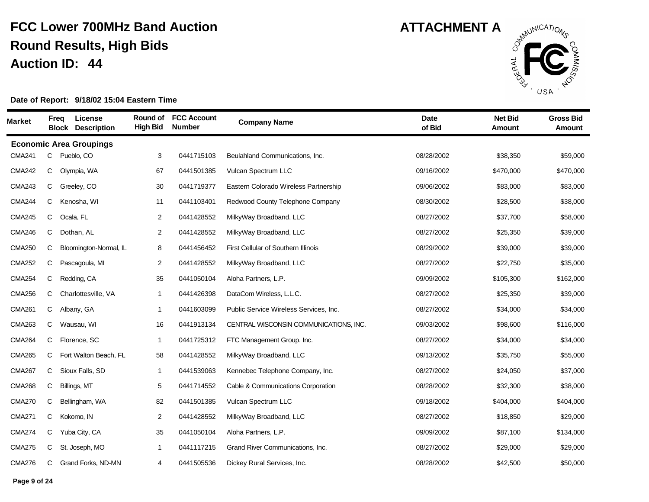

| <b>Market</b> | <b>Freq</b> | License<br><b>Block</b>        | <b>Description</b>     | <b>Round of</b><br><b>High Bid</b> | <b>FCC Account</b><br><b>Number</b> | <b>Company Name</b>                    | <b>Date</b><br>of Bid | <b>Net Bid</b><br><b>Amount</b> | <b>Gross Bid</b><br><b>Amount</b> |
|---------------|-------------|--------------------------------|------------------------|------------------------------------|-------------------------------------|----------------------------------------|-----------------------|---------------------------------|-----------------------------------|
|               |             | <b>Economic Area Groupings</b> |                        |                                    |                                     |                                        |                       |                                 |                                   |
| <b>CMA241</b> | C           | Pueblo, CO                     |                        | 3                                  | 0441715103                          | Beulahland Communications, Inc.        | 08/28/2002            | \$38,350                        | \$59,000                          |
| <b>CMA242</b> | С           | Olympia, WA                    |                        | 67                                 | 0441501385                          | Vulcan Spectrum LLC                    | 09/16/2002            | \$470,000                       | \$470,000                         |
| <b>CMA243</b> | С           | Greeley, CO                    |                        | 30                                 | 0441719377                          | Eastern Colorado Wireless Partnership  | 09/06/2002            | \$83,000                        | \$83,000                          |
| <b>CMA244</b> | С           | Kenosha, WI                    |                        | 11                                 | 0441103401                          | Redwood County Telephone Company       | 08/30/2002            | \$28,500                        | \$38,000                          |
| <b>CMA245</b> | С           | Ocala, FL                      |                        | 2                                  | 0441428552                          | MilkyWay Broadband, LLC                | 08/27/2002            | \$37,700                        | \$58,000                          |
| <b>CMA246</b> | С           | Dothan, AL                     |                        | 2                                  | 0441428552                          | MilkyWay Broadband, LLC                | 08/27/2002            | \$25,350                        | \$39,000                          |
| <b>CMA250</b> | С           |                                | Bloomington-Normal, IL | 8                                  | 0441456452                          | First Cellular of Southern Illinois    | 08/29/2002            | \$39,000                        | \$39,000                          |
| <b>CMA252</b> | С           | Pascagoula, MI                 |                        | 2                                  | 0441428552                          | MilkyWay Broadband, LLC                | 08/27/2002            | \$22,750                        | \$35,000                          |
| <b>CMA254</b> | С           | Redding, CA                    |                        | 35                                 | 0441050104                          | Aloha Partners, L.P.                   | 09/09/2002            | \$105,300                       | \$162,000                         |
| <b>CMA256</b> | С           | Charlottesville, VA            |                        | $\mathbf{1}$                       | 0441426398                          | DataCom Wireless, L.L.C.               | 08/27/2002            | \$25,350                        | \$39,000                          |
| <b>CMA261</b> | С           | Albany, GA                     |                        | $\mathbf{1}$                       | 0441603099                          | Public Service Wireless Services, Inc. | 08/27/2002            | \$34,000                        | \$34,000                          |
| <b>CMA263</b> | С           | Wausau, WI                     |                        | 16                                 | 0441913134                          | CENTRAL WISCONSIN COMMUNICATIONS, INC. | 09/03/2002            | \$98,600                        | \$116,000                         |
| <b>CMA264</b> | С           | Florence, SC                   |                        | $\mathbf{1}$                       | 0441725312                          | FTC Management Group, Inc.             | 08/27/2002            | \$34,000                        | \$34,000                          |
| <b>CMA265</b> | С           |                                | Fort Walton Beach, FL  | 58                                 | 0441428552                          | MilkyWay Broadband, LLC                | 09/13/2002            | \$35,750                        | \$55,000                          |
| <b>CMA267</b> | С           | Sioux Falls, SD                |                        | $\mathbf{1}$                       | 0441539063                          | Kennebec Telephone Company, Inc.       | 08/27/2002            | \$24,050                        | \$37,000                          |
| <b>CMA268</b> | С           | Billings, MT                   |                        | 5                                  | 0441714552                          | Cable & Communications Corporation     | 08/28/2002            | \$32,300                        | \$38,000                          |
| <b>CMA270</b> | С           | Bellingham, WA                 |                        | 82                                 | 0441501385                          | Vulcan Spectrum LLC                    | 09/18/2002            | \$404,000                       | \$404,000                         |
| <b>CMA271</b> | С           | Kokomo, IN                     |                        | 2                                  | 0441428552                          | MilkyWay Broadband, LLC                | 08/27/2002            | \$18,850                        | \$29,000                          |
| <b>CMA274</b> | С           | Yuba City, CA                  |                        | 35                                 | 0441050104                          | Aloha Partners, L.P.                   | 09/09/2002            | \$87,100                        | \$134,000                         |
| <b>CMA275</b> | С           | St. Joseph, MO                 |                        | $\mathbf{1}$                       | 0441117215                          | Grand River Communications, Inc.       | 08/27/2002            | \$29,000                        | \$29,000                          |
| <b>CMA276</b> | С           | Grand Forks, ND-MN             |                        | 4                                  | 0441505536                          | Dickey Rural Services, Inc.            | 08/28/2002            | \$42,500                        | \$50,000                          |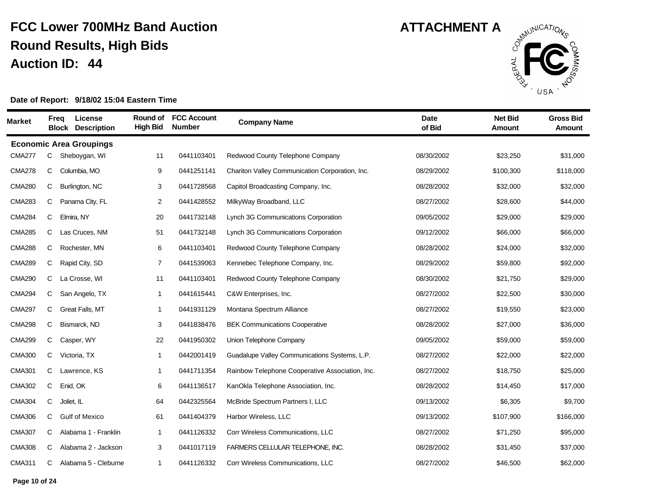

| <b>Market</b> |   | License<br>Freq<br><b>Block Description</b> | Round of<br><b>High Bid</b> | <b>FCC Account</b><br><b>Number</b> | <b>Company Name</b>                             | <b>Date</b><br>of Bid | <b>Net Bid</b><br><b>Amount</b> | <b>Gross Bid</b><br><b>Amount</b> |
|---------------|---|---------------------------------------------|-----------------------------|-------------------------------------|-------------------------------------------------|-----------------------|---------------------------------|-----------------------------------|
|               |   | <b>Economic Area Groupings</b>              |                             |                                     |                                                 |                       |                                 |                                   |
| <b>CMA277</b> | С | Sheboygan, WI                               | 11                          | 0441103401                          | Redwood County Telephone Company                | 08/30/2002            | \$23,250                        | \$31,000                          |
| <b>CMA278</b> | С | Columbia, MO                                | 9                           | 0441251141                          | Chariton Valley Communication Corporation, Inc. | 08/29/2002            | \$100,300                       | \$118,000                         |
| <b>CMA280</b> | С | Burlington, NC                              | 3                           | 0441728568                          | Capitol Broadcasting Company, Inc.              | 08/28/2002            | \$32,000                        | \$32,000                          |
| <b>CMA283</b> | С | Panama City, FL                             | $\overline{c}$              | 0441428552                          | MilkyWay Broadband, LLC                         | 08/27/2002            | \$28,600                        | \$44,000                          |
| <b>CMA284</b> | С | Elmira, NY                                  | 20                          | 0441732148                          | Lynch 3G Communications Corporation             | 09/05/2002            | \$29,000                        | \$29,000                          |
| <b>CMA285</b> | С | Las Cruces, NM                              | 51                          | 0441732148                          | Lynch 3G Communications Corporation             | 09/12/2002            | \$66,000                        | \$66,000                          |
| <b>CMA288</b> | С | Rochester, MN                               | 6                           | 0441103401                          | Redwood County Telephone Company                | 08/28/2002            | \$24,000                        | \$32,000                          |
| <b>CMA289</b> | С | Rapid City, SD                              | 7                           | 0441539063                          | Kennebec Telephone Company, Inc.                | 08/29/2002            | \$59,800                        | \$92,000                          |
| <b>CMA290</b> | С | La Crosse, WI                               | 11                          | 0441103401                          | Redwood County Telephone Company                | 08/30/2002            | \$21,750                        | \$29,000                          |
| <b>CMA294</b> | С | San Angelo, TX                              | $\mathbf{1}$                | 0441615441                          | C&W Enterprises, Inc.                           | 08/27/2002            | \$22,500                        | \$30,000                          |
| <b>CMA297</b> | С | Great Falls, MT                             | $\mathbf{1}$                | 0441931129                          | Montana Spectrum Alliance                       | 08/27/2002            | \$19,550                        | \$23,000                          |
| <b>CMA298</b> | С | Bismarck, ND                                | 3                           | 0441838476                          | <b>BEK Communications Cooperative</b>           | 08/28/2002            | \$27,000                        | \$36,000                          |
| <b>CMA299</b> | С | Casper, WY                                  | 22                          | 0441950302                          | Union Telephone Company                         | 09/05/2002            | \$59,000                        | \$59,000                          |
| <b>CMA300</b> | C | Victoria, TX                                | $\mathbf{1}$                | 0442001419                          | Guadalupe Valley Communications Systems, L.P.   | 08/27/2002            | \$22,000                        | \$22,000                          |
| <b>CMA301</b> | С | Lawrence, KS                                | $\mathbf{1}$                | 0441711354                          | Rainbow Telephone Cooperative Association, Inc. | 08/27/2002            | \$18,750                        | \$25,000                          |
| <b>CMA302</b> | С | Enid, OK                                    | 6                           | 0441136517                          | KanOkla Telephone Association, Inc.             | 08/28/2002            | \$14,450                        | \$17,000                          |
| <b>CMA304</b> | С | Joliet, IL                                  | 64                          | 0442325564                          | McBride Spectrum Partners I, LLC                | 09/13/2002            | \$6,305                         | \$9,700                           |
| <b>CMA306</b> | С | <b>Gulf of Mexico</b>                       | 61                          | 0441404379                          | Harbor Wireless, LLC                            | 09/13/2002            | \$107,900                       | \$166,000                         |
| <b>CMA307</b> | C | Alabama 1 - Franklin                        | $\mathbf{1}$                | 0441126332                          | Corr Wireless Communications, LLC               | 08/27/2002            | \$71,250                        | \$95,000                          |
| <b>CMA308</b> | С | Alabama 2 - Jackson                         | 3                           | 0441017119                          | FARMERS CELLULAR TELEPHONE, INC.                | 08/28/2002            | \$31,450                        | \$37,000                          |
| <b>CMA311</b> | С | Alabama 5 - Cleburne                        | $\mathbf 1$                 | 0441126332                          | Corr Wireless Communications, LLC               | 08/27/2002            | \$46,500                        | \$62,000                          |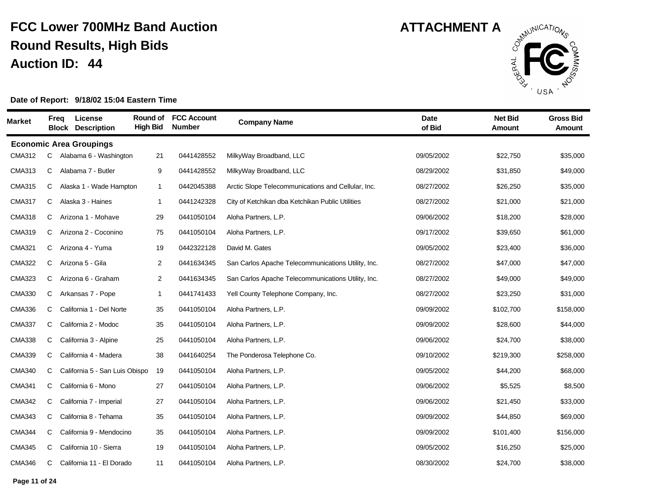

| <b>Market</b> |   | Freg | License<br><b>Block Description</b> | Round of<br><b>High Bid</b> | <b>FCC Account</b><br><b>Number</b> | <b>Company Name</b>                                | <b>Date</b><br>of Bid | <b>Net Bid</b><br>Amount | <b>Gross Bid</b><br>Amount |
|---------------|---|------|-------------------------------------|-----------------------------|-------------------------------------|----------------------------------------------------|-----------------------|--------------------------|----------------------------|
|               |   |      | <b>Economic Area Groupings</b>      |                             |                                     |                                                    |                       |                          |                            |
| <b>CMA312</b> | C |      | Alabama 6 - Washington              | 21                          | 0441428552                          | MilkyWay Broadband, LLC                            | 09/05/2002            | \$22,750                 | \$35,000                   |
| <b>CMA313</b> | C |      | Alabama 7 - Butler                  | 9                           | 0441428552                          | MilkyWay Broadband, LLC                            | 08/29/2002            | \$31,850                 | \$49,000                   |
| <b>CMA315</b> | C |      | Alaska 1 - Wade Hampton             | $\mathbf{1}$                | 0442045388                          | Arctic Slope Telecommunications and Cellular, Inc. | 08/27/2002            | \$26,250                 | \$35,000                   |
| <b>CMA317</b> | C |      | Alaska 3 - Haines                   | 1                           | 0441242328                          | City of Ketchikan dba Ketchikan Public Utilities   | 08/27/2002            | \$21,000                 | \$21,000                   |
| <b>CMA318</b> | C |      | Arizona 1 - Mohave                  | 29                          | 0441050104                          | Aloha Partners, L.P.                               | 09/06/2002            | \$18,200                 | \$28,000                   |
| <b>CMA319</b> | C |      | Arizona 2 - Coconino                | 75                          | 0441050104                          | Aloha Partners, L.P.                               | 09/17/2002            | \$39,650                 | \$61,000                   |
| <b>CMA321</b> | C |      | Arizona 4 - Yuma                    | 19                          | 0442322128                          | David M. Gates                                     | 09/05/2002            | \$23,400                 | \$36,000                   |
| <b>CMA322</b> | C |      | Arizona 5 - Gila                    | $\overline{2}$              | 0441634345                          | San Carlos Apache Telecommunications Utility, Inc. | 08/27/2002            | \$47,000                 | \$47,000                   |
| <b>CMA323</b> | C |      | Arizona 6 - Graham                  | $\overline{2}$              | 0441634345                          | San Carlos Apache Telecommunications Utility, Inc. | 08/27/2002            | \$49,000                 | \$49,000                   |
| <b>CMA330</b> | C |      | Arkansas 7 - Pope                   | 1                           | 0441741433                          | Yell County Telephone Company, Inc.                | 08/27/2002            | \$23,250                 | \$31,000                   |
| <b>CMA336</b> | C |      | California 1 - Del Norte            | 35                          | 0441050104                          | Aloha Partners, L.P.                               | 09/09/2002            | \$102,700                | \$158,000                  |
| <b>CMA337</b> | C |      | California 2 - Modoc                | 35                          | 0441050104                          | Aloha Partners, L.P.                               | 09/09/2002            | \$28,600                 | \$44,000                   |
| <b>CMA338</b> | C |      | California 3 - Alpine               | 25                          | 0441050104                          | Aloha Partners, L.P.                               | 09/06/2002            | \$24,700                 | \$38,000                   |
| <b>CMA339</b> | C |      | California 4 - Madera               | 38                          | 0441640254                          | The Ponderosa Telephone Co.                        | 09/10/2002            | \$219,300                | \$258,000                  |
| <b>CMA340</b> | C |      | California 5 - San Luis Obispo      | 19                          | 0441050104                          | Aloha Partners, L.P.                               | 09/05/2002            | \$44,200                 | \$68,000                   |
| <b>CMA341</b> | C |      | California 6 - Mono                 | 27                          | 0441050104                          | Aloha Partners, L.P.                               | 09/06/2002            | \$5,525                  | \$8,500                    |
| <b>CMA342</b> | C |      | California 7 - Imperial             | 27                          | 0441050104                          | Aloha Partners, L.P.                               | 09/06/2002            | \$21,450                 | \$33,000                   |
| <b>CMA343</b> | C |      | California 8 - Tehama               | 35                          | 0441050104                          | Aloha Partners, L.P.                               | 09/09/2002            | \$44,850                 | \$69,000                   |
| <b>CMA344</b> | C |      | California 9 - Mendocino            | 35                          | 0441050104                          | Aloha Partners, L.P.                               | 09/09/2002            | \$101,400                | \$156,000                  |
| <b>CMA345</b> | C |      | California 10 - Sierra              | 19                          | 0441050104                          | Aloha Partners, L.P.                               | 09/05/2002            | \$16,250                 | \$25,000                   |
| <b>CMA346</b> | C |      | California 11 - El Dorado           | 11                          | 0441050104                          | Aloha Partners, L.P.                               | 08/30/2002            | \$24,700                 | \$38,000                   |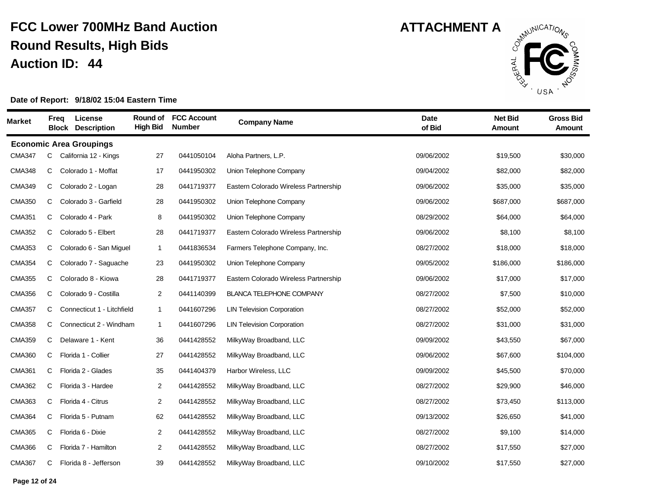

| <b>Market</b> | <b>Freq</b> | License<br><b>Block</b><br><b>Description</b> | Round of<br><b>High Bid</b> | <b>FCC Account</b><br><b>Number</b> | <b>Company Name</b>                   | <b>Date</b><br>of Bid | <b>Net Bid</b><br><b>Amount</b> | <b>Gross Bid</b><br><b>Amount</b> |
|---------------|-------------|-----------------------------------------------|-----------------------------|-------------------------------------|---------------------------------------|-----------------------|---------------------------------|-----------------------------------|
|               |             | <b>Economic Area Groupings</b>                |                             |                                     |                                       |                       |                                 |                                   |
| <b>CMA347</b> | С           | California 12 - Kings                         | 27                          | 0441050104                          | Aloha Partners, L.P.                  | 09/06/2002            | \$19,500                        | \$30,000                          |
| <b>CMA348</b> | C           | Colorado 1 - Moffat                           | 17                          | 0441950302                          | Union Telephone Company               | 09/04/2002            | \$82,000                        | \$82,000                          |
| <b>CMA349</b> | С           | Colorado 2 - Logan                            | 28                          | 0441719377                          | Eastern Colorado Wireless Partnership | 09/06/2002            | \$35,000                        | \$35,000                          |
| <b>CMA350</b> | C           | Colorado 3 - Garfield                         | 28                          | 0441950302                          | Union Telephone Company               | 09/06/2002            | \$687,000                       | \$687,000                         |
| <b>CMA351</b> | C           | Colorado 4 - Park                             | 8                           | 0441950302                          | Union Telephone Company               | 08/29/2002            | \$64,000                        | \$64,000                          |
| <b>CMA352</b> | С           | Colorado 5 - Elbert                           | 28                          | 0441719377                          | Eastern Colorado Wireless Partnership | 09/06/2002            | \$8,100                         | \$8,100                           |
| <b>CMA353</b> | С           | Colorado 6 - San Miguel                       | $\mathbf{1}$                | 0441836534                          | Farmers Telephone Company, Inc.       | 08/27/2002            | \$18,000                        | \$18,000                          |
| <b>CMA354</b> | С           | Colorado 7 - Saguache                         | 23                          | 0441950302                          | Union Telephone Company               | 09/05/2002            | \$186,000                       | \$186,000                         |
| <b>CMA355</b> | С           | Colorado 8 - Kiowa                            | 28                          | 0441719377                          | Eastern Colorado Wireless Partnership | 09/06/2002            | \$17,000                        | \$17,000                          |
| <b>CMA356</b> | C           | Colorado 9 - Costilla                         | 2                           | 0441140399                          | <b>BLANCA TELEPHONE COMPANY</b>       | 08/27/2002            | \$7,500                         | \$10,000                          |
| <b>CMA357</b> | С           | Connecticut 1 - Litchfield                    | $\mathbf{1}$                | 0441607296                          | <b>LIN Television Corporation</b>     | 08/27/2002            | \$52,000                        | \$52,000                          |
| <b>CMA358</b> | С           | Connecticut 2 - Windham                       | $\mathbf{1}$                | 0441607296                          | <b>LIN Television Corporation</b>     | 08/27/2002            | \$31,000                        | \$31,000                          |
| <b>CMA359</b> | С           | Delaware 1 - Kent                             | 36                          | 0441428552                          | MilkyWay Broadband, LLC               | 09/09/2002            | \$43,550                        | \$67,000                          |
| <b>CMA360</b> | С           | Florida 1 - Collier                           | 27                          | 0441428552                          | MilkyWay Broadband, LLC               | 09/06/2002            | \$67,600                        | \$104,000                         |
| <b>CMA361</b> | C           | Florida 2 - Glades                            | 35                          | 0441404379                          | Harbor Wireless, LLC                  | 09/09/2002            | \$45,500                        | \$70,000                          |
| <b>CMA362</b> | С           | Florida 3 - Hardee                            | 2                           | 0441428552                          | MilkyWay Broadband, LLC               | 08/27/2002            | \$29,900                        | \$46,000                          |
| <b>CMA363</b> | С           | Florida 4 - Citrus                            | $\overline{c}$              | 0441428552                          | MilkyWay Broadband, LLC               | 08/27/2002            | \$73,450                        | \$113,000                         |
| <b>CMA364</b> | С           | Florida 5 - Putnam                            | 62                          | 0441428552                          | MilkyWay Broadband, LLC               | 09/13/2002            | \$26,650                        | \$41,000                          |
| <b>CMA365</b> | С           | Florida 6 - Dixie                             | $\overline{c}$              | 0441428552                          | MilkyWay Broadband, LLC               | 08/27/2002            | \$9,100                         | \$14,000                          |
| <b>CMA366</b> | С           | Florida 7 - Hamilton                          | $\overline{c}$              | 0441428552                          | MilkyWay Broadband, LLC               | 08/27/2002            | \$17,550                        | \$27,000                          |
| <b>CMA367</b> | С           | Florida 8 - Jefferson                         | 39                          | 0441428552                          | MilkyWay Broadband, LLC               | 09/10/2002            | \$17,550                        | \$27,000                          |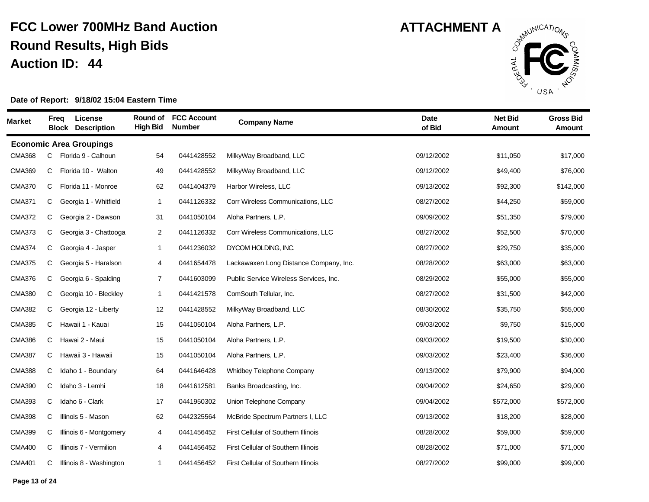

| Market        | Freq | License<br><b>Block</b><br><b>Description</b> | Round of<br><b>High Bid</b> | <b>FCC Account</b><br><b>Number</b> | <b>Company Name</b>                    | <b>Date</b><br>of Bid | <b>Net Bid</b><br><b>Amount</b> | <b>Gross Bid</b><br><b>Amount</b> |
|---------------|------|-----------------------------------------------|-----------------------------|-------------------------------------|----------------------------------------|-----------------------|---------------------------------|-----------------------------------|
|               |      | <b>Economic Area Groupings</b>                |                             |                                     |                                        |                       |                                 |                                   |
| <b>CMA368</b> | С    | Florida 9 - Calhoun                           | 54                          | 0441428552                          | MilkyWay Broadband, LLC                | 09/12/2002            | \$11,050                        | \$17,000                          |
| <b>CMA369</b> | C    | Florida 10 - Walton                           | 49                          | 0441428552                          | MilkyWay Broadband, LLC                | 09/12/2002            | \$49,400                        | \$76,000                          |
| <b>CMA370</b> | C    | Florida 11 - Monroe                           | 62                          | 0441404379                          | Harbor Wireless, LLC                   | 09/13/2002            | \$92,300                        | \$142,000                         |
| <b>CMA371</b> | C    | Georgia 1 - Whitfield                         | $\mathbf{1}$                | 0441126332                          | Corr Wireless Communications, LLC      | 08/27/2002            | \$44,250                        | \$59,000                          |
| <b>CMA372</b> | С    | Georgia 2 - Dawson                            | 31                          | 0441050104                          | Aloha Partners, L.P.                   | 09/09/2002            | \$51,350                        | \$79,000                          |
| <b>CMA373</b> | C    | Georgia 3 - Chattooga                         | $\overline{2}$              | 0441126332                          | Corr Wireless Communications, LLC      | 08/27/2002            | \$52,500                        | \$70,000                          |
| <b>CMA374</b> | C    | Georgia 4 - Jasper                            | $\mathbf{1}$                | 0441236032                          | DYCOM HOLDING, INC.                    | 08/27/2002            | \$29,750                        | \$35,000                          |
| <b>CMA375</b> | C    | Georgia 5 - Haralson                          | 4                           | 0441654478                          | Lackawaxen Long Distance Company, Inc. | 08/28/2002            | \$63,000                        | \$63,000                          |
| <b>CMA376</b> | C    | Georgia 6 - Spalding                          | $\overline{7}$              | 0441603099                          | Public Service Wireless Services, Inc. | 08/29/2002            | \$55,000                        | \$55,000                          |
| <b>CMA380</b> | C    | Georgia 10 - Bleckley                         | $\mathbf{1}$                | 0441421578                          | ComSouth Tellular, Inc.                | 08/27/2002            | \$31,500                        | \$42,000                          |
| <b>CMA382</b> | C    | Georgia 12 - Liberty                          | 12                          | 0441428552                          | MilkyWay Broadband, LLC                | 08/30/2002            | \$35,750                        | \$55,000                          |
| <b>CMA385</b> | C    | Hawaii 1 - Kauai                              | 15                          | 0441050104                          | Aloha Partners, L.P.                   | 09/03/2002            | \$9,750                         | \$15,000                          |
| <b>CMA386</b> | C    | Hawai 2 - Maui                                | 15                          | 0441050104                          | Aloha Partners, L.P.                   | 09/03/2002            | \$19,500                        | \$30,000                          |
| <b>CMA387</b> | C    | Hawaii 3 - Hawaii                             | 15                          | 0441050104                          | Aloha Partners, L.P.                   | 09/03/2002            | \$23,400                        | \$36,000                          |
| <b>CMA388</b> | C    | Idaho 1 - Boundary                            | 64                          | 0441646428                          | Whidbey Telephone Company              | 09/13/2002            | \$79,900                        | \$94,000                          |
| <b>CMA390</b> | C    | Idaho 3 - Lemhi                               | 18                          | 0441612581                          | Banks Broadcasting, Inc.               | 09/04/2002            | \$24,650                        | \$29,000                          |
| <b>CMA393</b> | C    | Idaho 6 - Clark                               | 17                          | 0441950302                          | Union Telephone Company                | 09/04/2002            | \$572,000                       | \$572,000                         |
| <b>CMA398</b> | C    | Illinois 5 - Mason                            | 62                          | 0442325564                          | McBride Spectrum Partners I, LLC       | 09/13/2002            | \$18,200                        | \$28,000                          |
| <b>CMA399</b> | C    | Illinois 6 - Montgomery                       | 4                           | 0441456452                          | First Cellular of Southern Illinois    | 08/28/2002            | \$59,000                        | \$59,000                          |
| <b>CMA400</b> | C    | Illinois 7 - Vermilion                        | 4                           | 0441456452                          | First Cellular of Southern Illinois    | 08/28/2002            | \$71,000                        | \$71,000                          |
| <b>CMA401</b> | С    | Illinois 8 - Washington                       | $\mathbf{1}$                | 0441456452                          | First Cellular of Southern Illinois    | 08/27/2002            | \$99,000                        | \$99,000                          |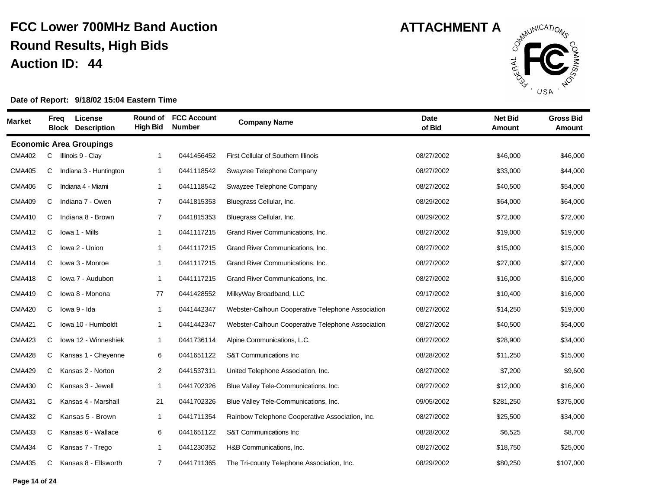

| <b>Market</b> | Freq | License<br><b>Block Description</b> | Round of<br><b>High Bid</b> | <b>FCC Account</b><br><b>Number</b> | <b>Company Name</b>                               | <b>Date</b><br>of Bid | <b>Net Bid</b><br><b>Amount</b> | <b>Gross Bid</b><br><b>Amount</b> |
|---------------|------|-------------------------------------|-----------------------------|-------------------------------------|---------------------------------------------------|-----------------------|---------------------------------|-----------------------------------|
|               |      | <b>Economic Area Groupings</b>      |                             |                                     |                                                   |                       |                                 |                                   |
| <b>CMA402</b> | C    | Illinois 9 - Clay                   | $\mathbf{1}$                | 0441456452                          | First Cellular of Southern Illinois               | 08/27/2002            | \$46,000                        | \$46,000                          |
| <b>CMA405</b> | C    | Indiana 3 - Huntington              | 1                           | 0441118542                          | Swayzee Telephone Company                         | 08/27/2002            | \$33,000                        | \$44,000                          |
| <b>CMA406</b> | C    | Indiana 4 - Miami                   | $\mathbf{1}$                | 0441118542                          | Swayzee Telephone Company                         | 08/27/2002            | \$40,500                        | \$54,000                          |
| <b>CMA409</b> | C    | Indiana 7 - Owen                    | $\overline{7}$              | 0441815353                          | Bluegrass Cellular, Inc.                          | 08/29/2002            | \$64,000                        | \$64,000                          |
| <b>CMA410</b> | C    | Indiana 8 - Brown                   | $\overline{7}$              | 0441815353                          | Bluegrass Cellular, Inc.                          | 08/29/2002            | \$72,000                        | \$72,000                          |
| <b>CMA412</b> | C    | Iowa 1 - Mills                      | $\mathbf{1}$                | 0441117215                          | Grand River Communications, Inc.                  | 08/27/2002            | \$19,000                        | \$19,000                          |
| <b>CMA413</b> | C    | Iowa 2 - Union                      | $\mathbf{1}$                | 0441117215                          | Grand River Communications, Inc.                  | 08/27/2002            | \$15,000                        | \$15,000                          |
| <b>CMA414</b> | C    | lowa 3 - Monroe                     | 1                           | 0441117215                          | Grand River Communications, Inc.                  | 08/27/2002            | \$27,000                        | \$27,000                          |
| <b>CMA418</b> | C    | lowa 7 - Audubon                    | 1                           | 0441117215                          | Grand River Communications, Inc.                  | 08/27/2002            | \$16,000                        | \$16,000                          |
| <b>CMA419</b> | C    | lowa 8 - Monona                     | 77                          | 0441428552                          | MilkyWay Broadband, LLC                           | 09/17/2002            | \$10,400                        | \$16,000                          |
| <b>CMA420</b> | C    | lowa 9 - Ida                        | 1                           | 0441442347                          | Webster-Calhoun Cooperative Telephone Association | 08/27/2002            | \$14,250                        | \$19,000                          |
| <b>CMA421</b> | C    | Iowa 10 - Humboldt                  | $\mathbf{1}$                | 0441442347                          | Webster-Calhoun Cooperative Telephone Association | 08/27/2002            | \$40,500                        | \$54,000                          |
| <b>CMA423</b> | C    | Iowa 12 - Winneshiek                | -1                          | 0441736114                          | Alpine Communications, L.C.                       | 08/27/2002            | \$28,900                        | \$34,000                          |
| <b>CMA428</b> | C    | Kansas 1 - Cheyenne                 | 6                           | 0441651122                          | S&T Communications Inc                            | 08/28/2002            | \$11,250                        | \$15,000                          |
| <b>CMA429</b> | C    | Kansas 2 - Norton                   | $\overline{2}$              | 0441537311                          | United Telephone Association, Inc.                | 08/27/2002            | \$7,200                         | \$9,600                           |
| <b>CMA430</b> | C    | Kansas 3 - Jewell                   | $\mathbf 1$                 | 0441702326                          | Blue Valley Tele-Communications, Inc.             | 08/27/2002            | \$12,000                        | \$16,000                          |
| <b>CMA431</b> | C    | Kansas 4 - Marshall                 | 21                          | 0441702326                          | Blue Valley Tele-Communications, Inc.             | 09/05/2002            | \$281,250                       | \$375,000                         |
| <b>CMA432</b> | C    | Kansas 5 - Brown                    | 1                           | 0441711354                          | Rainbow Telephone Cooperative Association, Inc.   | 08/27/2002            | \$25,500                        | \$34,000                          |
| <b>CMA433</b> | C    | Kansas 6 - Wallace                  | 6                           | 0441651122                          | S&T Communications Inc                            | 08/28/2002            | \$6,525                         | \$8,700                           |
| <b>CMA434</b> | C    | Kansas 7 - Trego                    | 1                           | 0441230352                          | H&B Communications, Inc.                          | 08/27/2002            | \$18,750                        | \$25,000                          |
| <b>CMA435</b> | С    | Kansas 8 - Ellsworth                | $\overline{7}$              | 0441711365                          | The Tri-county Telephone Association, Inc.        | 08/29/2002            | \$80,250                        | \$107,000                         |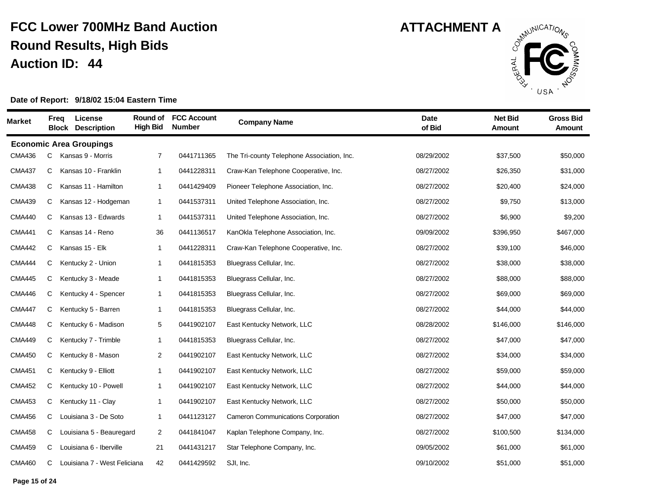

| Market        | Freq | License<br><b>Block Description</b> | Round of<br><b>High Bid</b> | <b>FCC Account</b><br><b>Number</b> | <b>Company Name</b>                        | <b>Date</b><br>of Bid | <b>Net Bid</b><br><b>Amount</b> | <b>Gross Bid</b><br>Amount |
|---------------|------|-------------------------------------|-----------------------------|-------------------------------------|--------------------------------------------|-----------------------|---------------------------------|----------------------------|
|               |      | <b>Economic Area Groupings</b>      |                             |                                     |                                            |                       |                                 |                            |
| <b>CMA436</b> | С    | Kansas 9 - Morris                   | 7                           | 0441711365                          | The Tri-county Telephone Association, Inc. | 08/29/2002            | \$37,500                        | \$50,000                   |
| <b>CMA437</b> | С    | Kansas 10 - Franklin                | $\mathbf{1}$                | 0441228311                          | Craw-Kan Telephone Cooperative, Inc.       | 08/27/2002            | \$26,350                        | \$31,000                   |
| <b>CMA438</b> | C    | Kansas 11 - Hamilton                | $\overline{1}$              | 0441429409                          | Pioneer Telephone Association, Inc.        | 08/27/2002            | \$20,400                        | \$24,000                   |
| <b>CMA439</b> | C    | Kansas 12 - Hodgeman                | $\overline{1}$              | 0441537311                          | United Telephone Association, Inc.         | 08/27/2002            | \$9,750                         | \$13,000                   |
| <b>CMA440</b> | C    | Kansas 13 - Edwards                 | $\mathbf 1$                 | 0441537311                          | United Telephone Association, Inc.         | 08/27/2002            | \$6,900                         | \$9,200                    |
| <b>CMA441</b> | С    | Kansas 14 - Reno                    | 36                          | 0441136517                          | KanOkla Telephone Association, Inc.        | 09/09/2002            | \$396,950                       | \$467,000                  |
| <b>CMA442</b> | C    | Kansas 15 - Elk                     | $\mathbf{1}$                | 0441228311                          | Craw-Kan Telephone Cooperative, Inc.       | 08/27/2002            | \$39,100                        | \$46,000                   |
| <b>CMA444</b> | С    | Kentucky 2 - Union                  | $\mathbf 1$                 | 0441815353                          | Bluegrass Cellular, Inc.                   | 08/27/2002            | \$38,000                        | \$38,000                   |
| <b>CMA445</b> | C    | Kentucky 3 - Meade                  | $\mathbf{1}$                | 0441815353                          | Bluegrass Cellular, Inc.                   | 08/27/2002            | \$88,000                        | \$88,000                   |
| <b>CMA446</b> | C    | Kentucky 4 - Spencer                | $\mathbf 1$                 | 0441815353                          | Bluegrass Cellular, Inc.                   | 08/27/2002            | \$69,000                        | \$69,000                   |
| <b>CMA447</b> | С    | Kentucky 5 - Barren                 | $\overline{1}$              | 0441815353                          | Bluegrass Cellular, Inc.                   | 08/27/2002            | \$44,000                        | \$44,000                   |
| <b>CMA448</b> | С    | Kentucky 6 - Madison                | 5                           | 0441902107                          | East Kentucky Network, LLC                 | 08/28/2002            | \$146,000                       | \$146,000                  |
| <b>CMA449</b> | C    | Kentucky 7 - Trimble                | $\mathbf{1}$                | 0441815353                          | Bluegrass Cellular, Inc.                   | 08/27/2002            | \$47,000                        | \$47,000                   |
| <b>CMA450</b> | C    | Kentucky 8 - Mason                  | 2                           | 0441902107                          | East Kentucky Network, LLC                 | 08/27/2002            | \$34,000                        | \$34,000                   |
| <b>CMA451</b> | С    | Kentucky 9 - Elliott                | $\mathbf{1}$                | 0441902107                          | East Kentucky Network, LLC                 | 08/27/2002            | \$59,000                        | \$59,000                   |
| <b>CMA452</b> | С    | Kentucky 10 - Powell                | $\mathbf{1}$                | 0441902107                          | East Kentucky Network, LLC                 | 08/27/2002            | \$44,000                        | \$44,000                   |
| <b>CMA453</b> | С    | Kentucky 11 - Clay                  | $\overline{1}$              | 0441902107                          | East Kentucky Network, LLC                 | 08/27/2002            | \$50,000                        | \$50,000                   |
| <b>CMA456</b> | C    | Louisiana 3 - De Soto               | $\overline{1}$              | 0441123127                          | <b>Cameron Communications Corporation</b>  | 08/27/2002            | \$47,000                        | \$47,000                   |
| <b>CMA458</b> | C    | Louisiana 5 - Beauregard            | 2                           | 0441841047                          | Kaplan Telephone Company, Inc.             | 08/27/2002            | \$100,500                       | \$134,000                  |
| <b>CMA459</b> | C    | Louisiana 6 - Iberville             | 21                          | 0441431217                          | Star Telephone Company, Inc.               | 09/05/2002            | \$61,000                        | \$61,000                   |
| <b>CMA460</b> | C    | Louisiana 7 - West Feliciana        | 42                          | 0441429592                          | SJI, Inc.                                  | 09/10/2002            | \$51,000                        | \$51,000                   |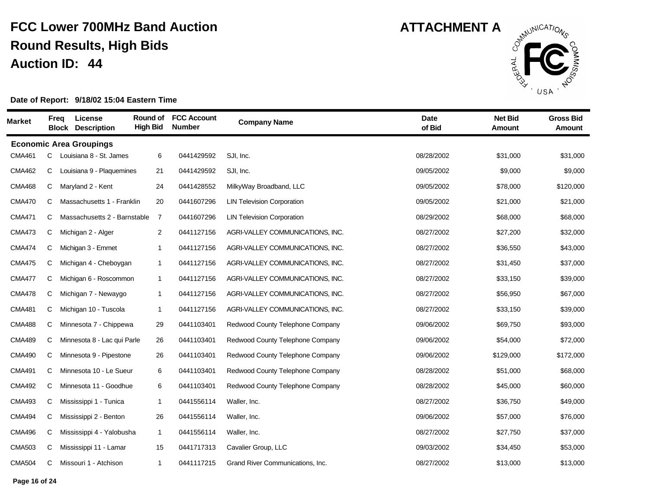

| <b>Market</b> |    | Freg | License<br><b>Block Description</b> | Round of<br><b>High Bid</b> | <b>FCC Account</b><br><b>Number</b> | <b>Company Name</b>               | <b>Date</b><br>of Bid | <b>Net Bid</b><br>Amount | <b>Gross Bid</b><br>Amount |
|---------------|----|------|-------------------------------------|-----------------------------|-------------------------------------|-----------------------------------|-----------------------|--------------------------|----------------------------|
|               |    |      | <b>Economic Area Groupings</b>      |                             |                                     |                                   |                       |                          |                            |
| <b>CMA461</b> | C. |      | Louisiana 8 - St. James             | 6                           | 0441429592                          | SJI, Inc.                         | 08/28/2002            | \$31.000                 | \$31,000                   |
| <b>CMA462</b> | C  |      | Louisiana 9 - Plaquemines           | 21                          | 0441429592                          | SJI, Inc.                         | 09/05/2002            | \$9,000                  | \$9,000                    |
| <b>CMA468</b> | C  |      | Maryland 2 - Kent                   | 24                          | 0441428552                          | MilkyWay Broadband, LLC           | 09/05/2002            | \$78,000                 | \$120,000                  |
| <b>CMA470</b> | C  |      | Massachusetts 1 - Franklin          | 20                          | 0441607296                          | <b>LIN Television Corporation</b> | 09/05/2002            | \$21,000                 | \$21,000                   |
| <b>CMA471</b> | C  |      | Massachusetts 2 - Barnstable        | 7                           | 0441607296                          | <b>LIN Television Corporation</b> | 08/29/2002            | \$68,000                 | \$68,000                   |
| <b>CMA473</b> | C  |      | Michigan 2 - Alger                  | $\overline{2}$              | 0441127156                          | AGRI-VALLEY COMMUNICATIONS, INC.  | 08/27/2002            | \$27,200                 | \$32,000                   |
| <b>CMA474</b> | C  |      | Michigan 3 - Emmet                  | $\mathbf{1}$                | 0441127156                          | AGRI-VALLEY COMMUNICATIONS, INC.  | 08/27/2002            | \$36,550                 | \$43,000                   |
| <b>CMA475</b> | С  |      | Michigan 4 - Cheboygan              | $\mathbf{1}$                | 0441127156                          | AGRI-VALLEY COMMUNICATIONS, INC.  | 08/27/2002            | \$31,450                 | \$37,000                   |
| <b>CMA477</b> | C  |      | Michigan 6 - Roscommon              | $\mathbf 1$                 | 0441127156                          | AGRI-VALLEY COMMUNICATIONS, INC.  | 08/27/2002            | \$33,150                 | \$39,000                   |
| <b>CMA478</b> | C  |      | Michigan 7 - Newaygo                | $\mathbf{1}$                | 0441127156                          | AGRI-VALLEY COMMUNICATIONS, INC.  | 08/27/2002            | \$56,950                 | \$67,000                   |
| <b>CMA481</b> | С  |      | Michigan 10 - Tuscola               | 1                           | 0441127156                          | AGRI-VALLEY COMMUNICATIONS, INC.  | 08/27/2002            | \$33,150                 | \$39,000                   |
| <b>CMA488</b> | C  |      | Minnesota 7 - Chippewa              | 29                          | 0441103401                          | Redwood County Telephone Company  | 09/06/2002            | \$69,750                 | \$93,000                   |
| <b>CMA489</b> | С  |      | Minnesota 8 - Lac qui Parle         | 26                          | 0441103401                          | Redwood County Telephone Company  | 09/06/2002            | \$54,000                 | \$72,000                   |
| <b>CMA490</b> | C  |      | Minnesota 9 - Pipestone             | 26                          | 0441103401                          | Redwood County Telephone Company  | 09/06/2002            | \$129,000                | \$172,000                  |
| <b>CMA491</b> | C  |      | Minnesota 10 - Le Sueur             | 6                           | 0441103401                          | Redwood County Telephone Company  | 08/28/2002            | \$51,000                 | \$68,000                   |
| <b>CMA492</b> | C  |      | Minnesota 11 - Goodhue              | 6                           | 0441103401                          | Redwood County Telephone Company  | 08/28/2002            | \$45,000                 | \$60,000                   |
| <b>CMA493</b> | C  |      | Mississippi 1 - Tunica              | $\mathbf{1}$                | 0441556114                          | Waller, Inc.                      | 08/27/2002            | \$36,750                 | \$49,000                   |
| <b>CMA494</b> | С  |      | Mississippi 2 - Benton              | 26                          | 0441556114                          | Waller, Inc.                      | 09/06/2002            | \$57,000                 | \$76,000                   |
| <b>CMA496</b> | C  |      | Mississippi 4 - Yalobusha           | $\mathbf{1}$                | 0441556114                          | Waller, Inc.                      | 08/27/2002            | \$27,750                 | \$37,000                   |
| <b>CMA503</b> | C  |      | Mississippi 11 - Lamar              | 15                          | 0441717313                          | Cavalier Group, LLC               | 09/03/2002            | \$34,450                 | \$53,000                   |
| <b>CMA504</b> | С  |      | Missouri 1 - Atchison               | $\mathbf{1}$                | 0441117215                          | Grand River Communications, Inc.  | 08/27/2002            | \$13,000                 | \$13,000                   |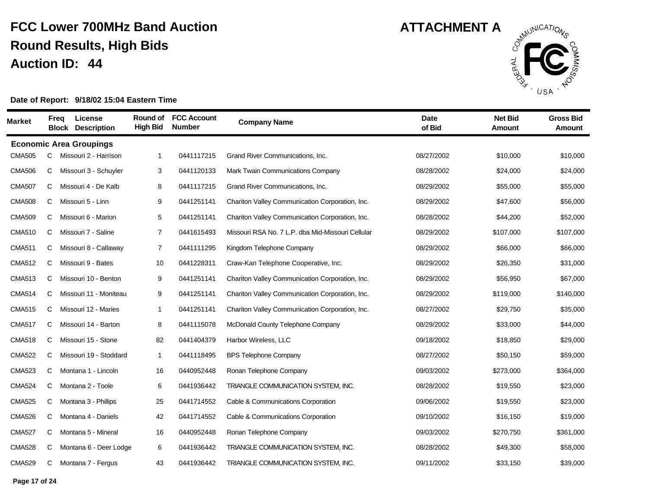

| <b>Market</b> |   | License<br>Freq<br><b>Block Description</b> | Round of<br><b>High Bid</b> | <b>FCC Account</b><br><b>Number</b> | <b>Company Name</b>                               | <b>Date</b><br>of Bid | <b>Net Bid</b><br><b>Amount</b> | <b>Gross Bid</b><br><b>Amount</b> |
|---------------|---|---------------------------------------------|-----------------------------|-------------------------------------|---------------------------------------------------|-----------------------|---------------------------------|-----------------------------------|
|               |   | <b>Economic Area Groupings</b>              |                             |                                     |                                                   |                       |                                 |                                   |
| <b>CMA505</b> | C | Missouri 2 - Harrison                       | 1                           | 0441117215                          | Grand River Communications, Inc.                  | 08/27/2002            | \$10,000                        | \$10,000                          |
| <b>CMA506</b> | С | Missouri 3 - Schuyler                       | 3                           | 0441120133                          | Mark Twain Communications Company                 | 08/28/2002            | \$24,000                        | \$24,000                          |
| <b>CMA507</b> | С | Missouri 4 - De Kalb                        | 8                           | 0441117215                          | Grand River Communications, Inc.                  | 08/29/2002            | \$55,000                        | \$55,000                          |
| <b>CMA508</b> | С | Missouri 5 - Linn                           | 9                           | 0441251141                          | Chariton Valley Communication Corporation, Inc.   | 08/29/2002            | \$47,600                        | \$56,000                          |
| <b>CMA509</b> | С | Missouri 6 - Marion                         | 5                           | 0441251141                          | Chariton Valley Communication Corporation, Inc.   | 08/28/2002            | \$44,200                        | \$52,000                          |
| <b>CMA510</b> | С | Missouri 7 - Saline                         | $\overline{7}$              | 0441615493                          | Missouri RSA No. 7 L.P. dba Mid-Missouri Cellular | 08/29/2002            | \$107,000                       | \$107,000                         |
| <b>CMA511</b> | С | Missouri 8 - Callaway                       | $\overline{7}$              | 0441111295                          | Kingdom Telephone Company                         | 08/29/2002            | \$66,000                        | \$66,000                          |
| <b>CMA512</b> | С | Missouri 9 - Bates                          | 10                          | 0441228311                          | Craw-Kan Telephone Cooperative, Inc.              | 08/29/2002            | \$26,350                        | \$31,000                          |
| <b>CMA513</b> | С | Missouri 10 - Benton                        | 9                           | 0441251141                          | Chariton Valley Communication Corporation, Inc.   | 08/29/2002            | \$56,950                        | \$67,000                          |
| <b>CMA514</b> | C | Missouri 11 - Moniteau                      | 9                           | 0441251141                          | Chariton Valley Communication Corporation, Inc.   | 08/29/2002            | \$119,000                       | \$140,000                         |
| <b>CMA515</b> | С | Missouri 12 - Maries                        | $\mathbf{1}$                | 0441251141                          | Chariton Valley Communication Corporation, Inc.   | 08/27/2002            | \$29,750                        | \$35,000                          |
| <b>CMA517</b> | С | Missouri 14 - Barton                        | 8                           | 0441115078                          | McDonald County Telephone Company                 | 08/29/2002            | \$33,000                        | \$44,000                          |
| <b>CMA518</b> | С | Missouri 15 - Stone                         | 82                          | 0441404379                          | Harbor Wireless, LLC                              | 09/18/2002            | \$18,850                        | \$29,000                          |
| <b>CMA522</b> | С | Missouri 19 - Stoddard                      | $\mathbf{1}$                | 0441118495                          | <b>BPS Telephone Company</b>                      | 08/27/2002            | \$50,150                        | \$59,000                          |
| <b>CMA523</b> | С | Montana 1 - Lincoln                         | 16                          | 0440952448                          | Ronan Telephone Company                           | 09/03/2002            | \$273,000                       | \$364,000                         |
| <b>CMA524</b> | С | Montana 2 - Toole                           | 6                           | 0441936442                          | TRIANGLE COMMUNICATION SYSTEM, INC.               | 08/28/2002            | \$19,550                        | \$23,000                          |
| <b>CMA525</b> | С | Montana 3 - Phillips                        | 25                          | 0441714552                          | Cable & Communications Corporation                | 09/06/2002            | \$19,550                        | \$23,000                          |
| <b>CMA526</b> | С | Montana 4 - Daniels                         | 42                          | 0441714552                          | Cable & Communications Corporation                | 09/10/2002            | \$16,150                        | \$19,000                          |
| <b>CMA527</b> | С | Montana 5 - Mineral                         | 16                          | 0440952448                          | Ronan Telephone Company                           | 09/03/2002            | \$270,750                       | \$361,000                         |
| <b>CMA528</b> | С | Montana 6 - Deer Lodge                      | 6                           | 0441936442                          | TRIANGLE COMMUNICATION SYSTEM, INC.               | 08/28/2002            | \$49,300                        | \$58,000                          |
| <b>CMA529</b> | С | Montana 7 - Fergus                          | 43                          | 0441936442                          | TRIANGLE COMMUNICATION SYSTEM, INC.               | 09/11/2002            | \$33,150                        | \$39,000                          |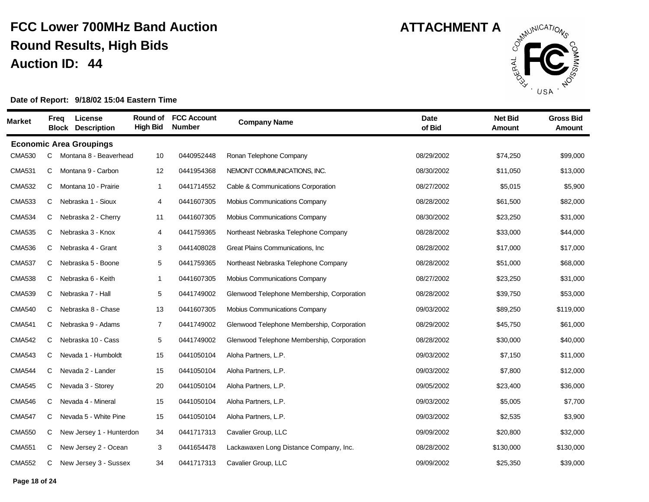

| <b>Market</b> |   | License<br>Freq<br><b>Block Description</b> | Round of<br><b>High Bid</b> | <b>FCC Account</b><br><b>Number</b> | <b>Company Name</b>                        | <b>Date</b><br>of Bid | <b>Net Bid</b><br><b>Amount</b> | <b>Gross Bid</b><br><b>Amount</b> |
|---------------|---|---------------------------------------------|-----------------------------|-------------------------------------|--------------------------------------------|-----------------------|---------------------------------|-----------------------------------|
|               |   | <b>Economic Area Groupings</b>              |                             |                                     |                                            |                       |                                 |                                   |
| <b>CMA530</b> | C | Montana 8 - Beaverhead                      | 10                          | 0440952448                          | Ronan Telephone Company                    | 08/29/2002            | \$74,250                        | \$99,000                          |
| <b>CMA531</b> | C | Montana 9 - Carbon                          | 12                          | 0441954368                          | NEMONT COMMUNICATIONS, INC.                | 08/30/2002            | \$11,050                        | \$13,000                          |
| <b>CMA532</b> | С | Montana 10 - Prairie                        | $\mathbf{1}$                | 0441714552                          | Cable & Communications Corporation         | 08/27/2002            | \$5,015                         | \$5,900                           |
| <b>CMA533</b> | С | Nebraska 1 - Sioux                          | 4                           | 0441607305                          | Mobius Communications Company              | 08/28/2002            | \$61,500                        | \$82,000                          |
| <b>CMA534</b> | С | Nebraska 2 - Cherry                         | 11                          | 0441607305                          | <b>Mobius Communications Company</b>       | 08/30/2002            | \$23,250                        | \$31,000                          |
| <b>CMA535</b> | C | Nebraska 3 - Knox                           | 4                           | 0441759365                          | Northeast Nebraska Telephone Company       | 08/28/2002            | \$33,000                        | \$44,000                          |
| <b>CMA536</b> | C | Nebraska 4 - Grant                          | 3                           | 0441408028                          | Great Plains Communications, Inc.          | 08/28/2002            | \$17,000                        | \$17,000                          |
| <b>CMA537</b> | C | Nebraska 5 - Boone                          | 5                           | 0441759365                          | Northeast Nebraska Telephone Company       | 08/28/2002            | \$51,000                        | \$68,000                          |
| <b>CMA538</b> | С | Nebraska 6 - Keith                          | $\overline{\mathbf{1}}$     | 0441607305                          | <b>Mobius Communications Company</b>       | 08/27/2002            | \$23,250                        | \$31,000                          |
| <b>CMA539</b> | С | Nebraska 7 - Hall                           | 5                           | 0441749002                          | Glenwood Telephone Membership, Corporation | 08/28/2002            | \$39,750                        | \$53,000                          |
| <b>CMA540</b> | C | Nebraska 8 - Chase                          | 13                          | 0441607305                          | <b>Mobius Communications Company</b>       | 09/03/2002            | \$89,250                        | \$119,000                         |
| <b>CMA541</b> | C | Nebraska 9 - Adams                          | $\overline{7}$              | 0441749002                          | Glenwood Telephone Membership, Corporation | 08/29/2002            | \$45,750                        | \$61,000                          |
| <b>CMA542</b> | C | Nebraska 10 - Cass                          | 5                           | 0441749002                          | Glenwood Telephone Membership, Corporation | 08/28/2002            | \$30,000                        | \$40,000                          |
| <b>CMA543</b> | С | Nevada 1 - Humboldt                         | 15                          | 0441050104                          | Aloha Partners, L.P.                       | 09/03/2002            | \$7,150                         | \$11,000                          |
| <b>CMA544</b> | С | Nevada 2 - Lander                           | 15                          | 0441050104                          | Aloha Partners, L.P.                       | 09/03/2002            | \$7,800                         | \$12,000                          |
| <b>CMA545</b> | C | Nevada 3 - Storey                           | 20                          | 0441050104                          | Aloha Partners, L.P.                       | 09/05/2002            | \$23,400                        | \$36,000                          |
| <b>CMA546</b> | C | Nevada 4 - Mineral                          | 15                          | 0441050104                          | Aloha Partners, L.P.                       | 09/03/2002            | \$5,005                         | \$7,700                           |
| <b>CMA547</b> | С | Nevada 5 - White Pine                       | 15                          | 0441050104                          | Aloha Partners, L.P.                       | 09/03/2002            | \$2,535                         | \$3,900                           |
| <b>CMA550</b> | C | New Jersey 1 - Hunterdon                    | 34                          | 0441717313                          | Cavalier Group, LLC                        | 09/09/2002            | \$20,800                        | \$32,000                          |
| <b>CMA551</b> | C | New Jersey 2 - Ocean                        | 3                           | 0441654478                          | Lackawaxen Long Distance Company, Inc.     | 08/28/2002            | \$130,000                       | \$130,000                         |
| <b>CMA552</b> | С | New Jersey 3 - Sussex                       | 34                          | 0441717313                          | Cavalier Group, LLC                        | 09/09/2002            | \$25,350                        | \$39,000                          |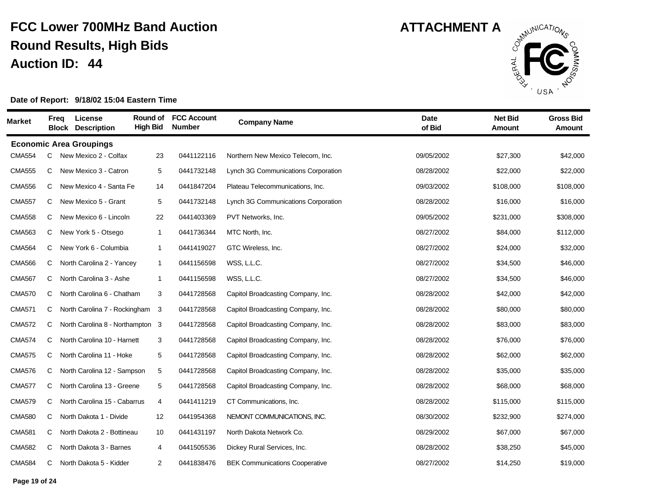

| Market        | <b>Freq</b> | License<br><b>Block Description</b> | Round of<br><b>High Bid</b> | <b>FCC Account</b><br><b>Number</b> | <b>Company Name</b>                   | <b>Date</b><br>of Bid | <b>Net Bid</b><br>Amount | <b>Gross Bid</b><br><b>Amount</b> |
|---------------|-------------|-------------------------------------|-----------------------------|-------------------------------------|---------------------------------------|-----------------------|--------------------------|-----------------------------------|
|               |             | <b>Economic Area Groupings</b>      |                             |                                     |                                       |                       |                          |                                   |
| <b>CMA554</b> | C           | New Mexico 2 - Colfax               | 23                          | 0441122116                          | Northern New Mexico Telecom, Inc.     | 09/05/2002            | \$27,300                 | \$42,000                          |
| <b>CMA555</b> | C           | New Mexico 3 - Catron               | 5                           | 0441732148                          | Lynch 3G Communications Corporation   | 08/28/2002            | \$22,000                 | \$22,000                          |
| <b>CMA556</b> | C           | New Mexico 4 - Santa Fe             | 14                          | 0441847204                          | Plateau Telecommunications, Inc.      | 09/03/2002            | \$108,000                | \$108,000                         |
| <b>CMA557</b> | C           | New Mexico 5 - Grant                | 5                           | 0441732148                          | Lynch 3G Communications Corporation   | 08/28/2002            | \$16,000                 | \$16,000                          |
| <b>CMA558</b> | C           | New Mexico 6 - Lincoln              | 22                          | 0441403369                          | PVT Networks, Inc.                    | 09/05/2002            | \$231,000                | \$308,000                         |
| <b>CMA563</b> | C           | New York 5 - Otsego                 | $\mathbf{1}$                | 0441736344                          | MTC North, Inc.                       | 08/27/2002            | \$84,000                 | \$112,000                         |
| <b>CMA564</b> | C           | New York 6 - Columbia               | $\mathbf{1}$                | 0441419027                          | GTC Wireless, Inc.                    | 08/27/2002            | \$24,000                 | \$32,000                          |
| <b>CMA566</b> | C           | North Carolina 2 - Yancey           | $\mathbf{1}$                | 0441156598                          | WSS, L.L.C.                           | 08/27/2002            | \$34,500                 | \$46,000                          |
| <b>CMA567</b> | C           | North Carolina 3 - Ashe             | $\mathbf{1}$                | 0441156598                          | WSS, L.L.C.                           | 08/27/2002            | \$34,500                 | \$46,000                          |
| <b>CMA570</b> | C           | North Carolina 6 - Chatham          | 3                           | 0441728568                          | Capitol Broadcasting Company, Inc.    | 08/28/2002            | \$42,000                 | \$42,000                          |
| <b>CMA571</b> | C           | North Carolina 7 - Rockingham       | 3                           | 0441728568                          | Capitol Broadcasting Company, Inc.    | 08/28/2002            | \$80,000                 | \$80,000                          |
| <b>CMA572</b> | C           | North Carolina 8 - Northampton 3    |                             | 0441728568                          | Capitol Broadcasting Company, Inc.    | 08/28/2002            | \$83,000                 | \$83,000                          |
| <b>CMA574</b> | C           | North Carolina 10 - Harnett         | 3                           | 0441728568                          | Capitol Broadcasting Company, Inc.    | 08/28/2002            | \$76,000                 | \$76,000                          |
| <b>CMA575</b> | C.          | North Carolina 11 - Hoke            | 5                           | 0441728568                          | Capitol Broadcasting Company, Inc.    | 08/28/2002            | \$62,000                 | \$62,000                          |
| <b>CMA576</b> | C           | North Carolina 12 - Sampson         | 5                           | 0441728568                          | Capitol Broadcasting Company, Inc.    | 08/28/2002            | \$35,000                 | \$35,000                          |
| <b>CMA577</b> | C           | North Carolina 13 - Greene          | 5                           | 0441728568                          | Capitol Broadcasting Company, Inc.    | 08/28/2002            | \$68,000                 | \$68,000                          |
| <b>CMA579</b> | C           | North Carolina 15 - Cabarrus        | 4                           | 0441411219                          | CT Communications, Inc.               | 08/28/2002            | \$115,000                | \$115,000                         |
| <b>CMA580</b> | C           | North Dakota 1 - Divide             | 12                          | 0441954368                          | NEMONT COMMUNICATIONS, INC.           | 08/30/2002            | \$232,900                | \$274,000                         |
| <b>CMA581</b> | C           | North Dakota 2 - Bottineau          | 10                          | 0441431197                          | North Dakota Network Co.              | 08/29/2002            | \$67,000                 | \$67,000                          |
| <b>CMA582</b> | C           | North Dakota 3 - Barnes             | 4                           | 0441505536                          | Dickey Rural Services, Inc.           | 08/28/2002            | \$38,250                 | \$45,000                          |
| <b>CMA584</b> | C           | North Dakota 5 - Kidder             | $\overline{c}$              | 0441838476                          | <b>BEK Communications Cooperative</b> | 08/27/2002            | \$14,250                 | \$19,000                          |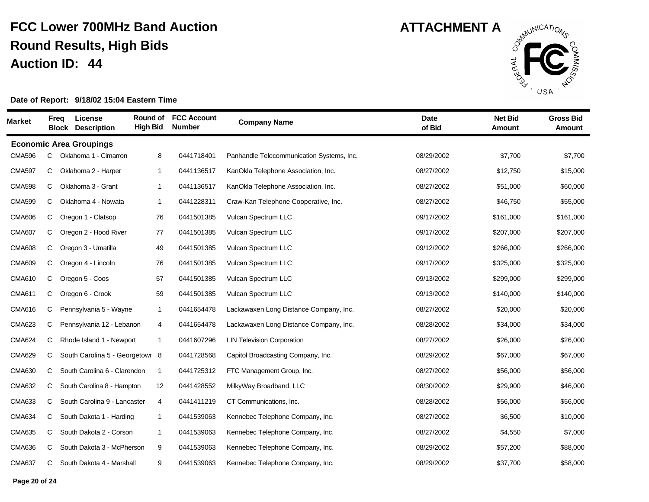

| Market        | <b>Freq</b> | <b>License</b><br><b>Block Description</b> | Round of<br><b>High Bid</b> | <b>FCC Account</b><br><b>Number</b> | <b>Company Name</b>                       | <b>Date</b><br>of Bid | <b>Net Bid</b><br>Amount | <b>Gross Bid</b><br><b>Amount</b> |
|---------------|-------------|--------------------------------------------|-----------------------------|-------------------------------------|-------------------------------------------|-----------------------|--------------------------|-----------------------------------|
|               |             | <b>Economic Area Groupings</b>             |                             |                                     |                                           |                       |                          |                                   |
| <b>CMA596</b> | C           | Oklahoma 1 - Cimarron                      | 8                           | 0441718401                          | Panhandle Telecommunication Systems, Inc. | 08/29/2002            | \$7,700                  | \$7,700                           |
| <b>CMA597</b> | C           | Oklahoma 2 - Harper                        | $\mathbf{1}$                | 0441136517                          | KanOkla Telephone Association, Inc.       | 08/27/2002            | \$12,750                 | \$15,000                          |
| <b>CMA598</b> | C           | Oklahoma 3 - Grant                         | $\mathbf{1}$                | 0441136517                          | KanOkla Telephone Association, Inc.       | 08/27/2002            | \$51,000                 | \$60,000                          |
| <b>CMA599</b> | C           | Oklahoma 4 - Nowata                        | $\mathbf{1}$                | 0441228311                          | Craw-Kan Telephone Cooperative, Inc.      | 08/27/2002            | \$46,750                 | \$55,000                          |
| <b>CMA606</b> | C           | Oregon 1 - Clatsop                         | 76                          | 0441501385                          | Vulcan Spectrum LLC                       | 09/17/2002            | \$161,000                | \$161,000                         |
| <b>CMA607</b> | C           | Oregon 2 - Hood River                      | 77                          | 0441501385                          | Vulcan Spectrum LLC                       | 09/17/2002            | \$207,000                | \$207,000                         |
| <b>CMA608</b> | C           | Oregon 3 - Umatilla                        | 49                          | 0441501385                          | Vulcan Spectrum LLC                       | 09/12/2002            | \$266,000                | \$266,000                         |
| <b>CMA609</b> | C           | Oregon 4 - Lincoln                         | 76                          | 0441501385                          | Vulcan Spectrum LLC                       | 09/17/2002            | \$325,000                | \$325,000                         |
| <b>CMA610</b> | C           | Oregon 5 - Coos                            | 57                          | 0441501385                          | Vulcan Spectrum LLC                       | 09/13/2002            | \$299,000                | \$299,000                         |
| <b>CMA611</b> | C.          | Oregon 6 - Crook                           | 59                          | 0441501385                          | Vulcan Spectrum LLC                       | 09/13/2002            | \$140,000                | \$140,000                         |
| <b>CMA616</b> | C           | Pennsylvania 5 - Wayne                     | $\mathbf{1}$                | 0441654478                          | Lackawaxen Long Distance Company, Inc.    | 08/27/2002            | \$20,000                 | \$20,000                          |
| <b>CMA623</b> | C           | Pennsylvania 12 - Lebanon                  | 4                           | 0441654478                          | Lackawaxen Long Distance Company, Inc.    | 08/28/2002            | \$34,000                 | \$34,000                          |
| <b>CMA624</b> | C           | Rhode Island 1 - Newport                   | $\mathbf{1}$                | 0441607296                          | <b>LIN Television Corporation</b>         | 08/27/2002            | \$26,000                 | \$26,000                          |
| <b>CMA629</b> | C.          | South Carolina 5 - Georgetown 8            |                             | 0441728568                          | Capitol Broadcasting Company, Inc.        | 08/29/2002            | \$67,000                 | \$67,000                          |
| <b>CMA630</b> | C           | South Carolina 6 - Clarendon               | $\mathbf{1}$                | 0441725312                          | FTC Management Group, Inc.                | 08/27/2002            | \$56,000                 | \$56,000                          |
| <b>CMA632</b> | C           | South Carolina 8 - Hampton                 | 12                          | 0441428552                          | MilkyWay Broadband, LLC                   | 08/30/2002            | \$29,900                 | \$46,000                          |
| <b>CMA633</b> | C           | South Carolina 9 - Lancaster               | 4                           | 0441411219                          | CT Communications, Inc.                   | 08/28/2002            | \$56,000                 | \$56,000                          |
| <b>CMA634</b> | C           | South Dakota 1 - Harding                   | $\mathbf{1}$                | 0441539063                          | Kennebec Telephone Company, Inc.          | 08/27/2002            | \$6,500                  | \$10,000                          |
| <b>CMA635</b> | C           | South Dakota 2 - Corson                    | $\mathbf{1}$                | 0441539063                          | Kennebec Telephone Company, Inc.          | 08/27/2002            | \$4,550                  | \$7,000                           |
| <b>CMA636</b> | C           | South Dakota 3 - McPherson                 | 9                           | 0441539063                          | Kennebec Telephone Company, Inc.          | 08/29/2002            | \$57,200                 | \$88,000                          |
| <b>CMA637</b> | C           | South Dakota 4 - Marshall                  | 9                           | 0441539063                          | Kennebec Telephone Company, Inc.          | 08/29/2002            | \$37,700                 | \$58,000                          |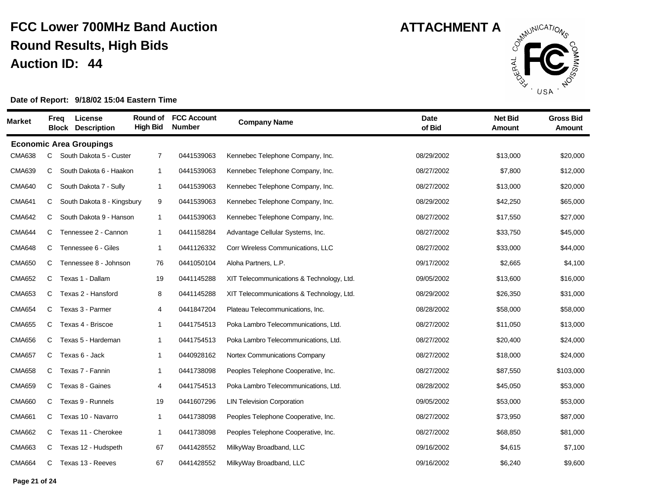

| Market        | Freq | License<br><b>Block</b><br><b>Description</b> | Round of<br><b>High Bid</b> | <b>FCC Account</b><br><b>Number</b> | <b>Company Name</b>                       | <b>Date</b><br>of Bid | <b>Net Bid</b><br><b>Amount</b> | <b>Gross Bid</b><br><b>Amount</b> |
|---------------|------|-----------------------------------------------|-----------------------------|-------------------------------------|-------------------------------------------|-----------------------|---------------------------------|-----------------------------------|
|               |      | <b>Economic Area Groupings</b>                |                             |                                     |                                           |                       |                                 |                                   |
| <b>CMA638</b> | C    | South Dakota 5 - Custer                       | $\overline{7}$              | 0441539063                          | Kennebec Telephone Company, Inc.          | 08/29/2002            | \$13,000                        | \$20,000                          |
| <b>CMA639</b> | C    | South Dakota 6 - Haakon                       | $\mathbf{1}$                | 0441539063                          | Kennebec Telephone Company, Inc.          | 08/27/2002            | \$7,800                         | \$12,000                          |
| <b>CMA640</b> | C    | South Dakota 7 - Sully                        | $\mathbf{1}$                | 0441539063                          | Kennebec Telephone Company, Inc.          | 08/27/2002            | \$13,000                        | \$20,000                          |
| <b>CMA641</b> | C    | South Dakota 8 - Kingsbury                    | 9                           | 0441539063                          | Kennebec Telephone Company, Inc.          | 08/29/2002            | \$42,250                        | \$65,000                          |
| <b>CMA642</b> | C    | South Dakota 9 - Hanson                       | $\mathbf{1}$                | 0441539063                          | Kennebec Telephone Company, Inc.          | 08/27/2002            | \$17,550                        | \$27,000                          |
| <b>CMA644</b> | C    | Tennessee 2 - Cannon                          | $\mathbf{1}$                | 0441158284                          | Advantage Cellular Systems, Inc.          | 08/27/2002            | \$33,750                        | \$45,000                          |
| <b>CMA648</b> | C    | Tennessee 6 - Giles                           | $\mathbf{1}$                | 0441126332                          | Corr Wireless Communications, LLC         | 08/27/2002            | \$33,000                        | \$44,000                          |
| <b>CMA650</b> | C    | Tennessee 8 - Johnson                         | 76                          | 0441050104                          | Aloha Partners, L.P.                      | 09/17/2002            | \$2,665                         | \$4,100                           |
| <b>CMA652</b> | C    | Texas 1 - Dallam                              | 19                          | 0441145288                          | XIT Telecommunications & Technology, Ltd. | 09/05/2002            | \$13,600                        | \$16,000                          |
| <b>CMA653</b> | C    | Texas 2 - Hansford                            | 8                           | 0441145288                          | XIT Telecommunications & Technology, Ltd. | 08/29/2002            | \$26,350                        | \$31,000                          |
| <b>CMA654</b> | C    | Texas 3 - Parmer                              | $\overline{4}$              | 0441847204                          | Plateau Telecommunications, Inc.          | 08/28/2002            | \$58,000                        | \$58,000                          |
| <b>CMA655</b> | C    | Texas 4 - Briscoe                             | $\mathbf{1}$                | 0441754513                          | Poka Lambro Telecommunications, Ltd.      | 08/27/2002            | \$11,050                        | \$13,000                          |
| <b>CMA656</b> | C    | Texas 5 - Hardeman                            | $\mathbf{1}$                | 0441754513                          | Poka Lambro Telecommunications, Ltd.      | 08/27/2002            | \$20,400                        | \$24,000                          |
| <b>CMA657</b> | C    | Texas 6 - Jack                                | $\mathbf{1}$                | 0440928162                          | Nortex Communications Company             | 08/27/2002            | \$18,000                        | \$24,000                          |
| <b>CMA658</b> | C    | Texas 7 - Fannin                              | $\mathbf{1}$                | 0441738098                          | Peoples Telephone Cooperative, Inc.       | 08/27/2002            | \$87,550                        | \$103,000                         |
| <b>CMA659</b> | C    | Texas 8 - Gaines                              | 4                           | 0441754513                          | Poka Lambro Telecommunications, Ltd.      | 08/28/2002            | \$45,050                        | \$53,000                          |
| <b>CMA660</b> | C    | Texas 9 - Runnels                             | 19                          | 0441607296                          | <b>LIN Television Corporation</b>         | 09/05/2002            | \$53,000                        | \$53,000                          |
| <b>CMA661</b> | C    | Texas 10 - Navarro                            | $\mathbf{1}$                | 0441738098                          | Peoples Telephone Cooperative, Inc.       | 08/27/2002            | \$73,950                        | \$87,000                          |
| <b>CMA662</b> | C.   | Texas 11 - Cherokee                           | $\mathbf{1}$                | 0441738098                          | Peoples Telephone Cooperative, Inc.       | 08/27/2002            | \$68,850                        | \$81,000                          |
| <b>CMA663</b> | C    | Texas 12 - Hudspeth                           | 67                          | 0441428552                          | MilkyWay Broadband, LLC                   | 09/16/2002            | \$4,615                         | \$7,100                           |
| <b>CMA664</b> | C    | Texas 13 - Reeves                             | 67                          | 0441428552                          | MilkyWay Broadband, LLC                   | 09/16/2002            | \$6,240                         | \$9,600                           |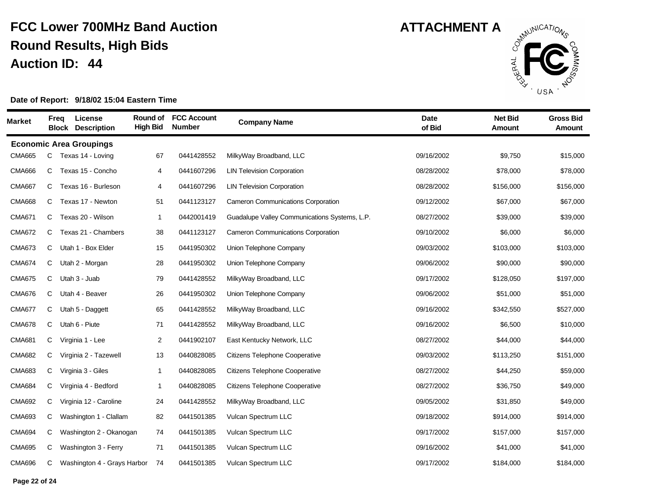

| Market        | Freq | License<br><b>Block</b><br><b>Description</b> | Round of<br><b>High Bid</b> | <b>FCC Account</b><br><b>Number</b> | <b>Company Name</b>                           | <b>Date</b><br>of Bid | <b>Net Bid</b><br><b>Amount</b> | <b>Gross Bid</b><br><b>Amount</b> |
|---------------|------|-----------------------------------------------|-----------------------------|-------------------------------------|-----------------------------------------------|-----------------------|---------------------------------|-----------------------------------|
|               |      | <b>Economic Area Groupings</b>                |                             |                                     |                                               |                       |                                 |                                   |
| <b>CMA665</b> | C    | Texas 14 - Loving                             | 67                          | 0441428552                          | MilkyWay Broadband, LLC                       | 09/16/2002            | \$9,750                         | \$15,000                          |
| <b>CMA666</b> | C    | Texas 15 - Concho                             | 4                           | 0441607296                          | <b>LIN Television Corporation</b>             | 08/28/2002            | \$78,000                        | \$78,000                          |
| <b>CMA667</b> | C    | Texas 16 - Burleson                           | 4                           | 0441607296                          | <b>LIN Television Corporation</b>             | 08/28/2002            | \$156,000                       | \$156,000                         |
| <b>CMA668</b> | C    | Texas 17 - Newton                             | 51                          | 0441123127                          | <b>Cameron Communications Corporation</b>     | 09/12/2002            | \$67,000                        | \$67,000                          |
| <b>CMA671</b> | C    | Texas 20 - Wilson                             | $\mathbf{1}$                | 0442001419                          | Guadalupe Valley Communications Systems, L.P. | 08/27/2002            | \$39,000                        | \$39,000                          |
| <b>CMA672</b> | C    | Texas 21 - Chambers                           | 38                          | 0441123127                          | <b>Cameron Communications Corporation</b>     | 09/10/2002            | \$6,000                         | \$6,000                           |
| <b>CMA673</b> | C    | Utah 1 - Box Elder                            | 15                          | 0441950302                          | Union Telephone Company                       | 09/03/2002            | \$103,000                       | \$103,000                         |
| <b>CMA674</b> | C    | Utah 2 - Morgan                               | 28                          | 0441950302                          | Union Telephone Company                       | 09/06/2002            | \$90,000                        | \$90,000                          |
| <b>CMA675</b> | C    | Utah 3 - Juab                                 | 79                          | 0441428552                          | MilkyWay Broadband, LLC                       | 09/17/2002            | \$128,050                       | \$197,000                         |
| <b>CMA676</b> | C    | Utah 4 - Beaver                               | 26                          | 0441950302                          | Union Telephone Company                       | 09/06/2002            | \$51,000                        | \$51,000                          |
| <b>CMA677</b> | C    | Utah 5 - Daggett                              | 65                          | 0441428552                          | MilkyWay Broadband, LLC                       | 09/16/2002            | \$342,550                       | \$527,000                         |
| <b>CMA678</b> | C    | Utah 6 - Piute                                | 71                          | 0441428552                          | MilkyWay Broadband, LLC                       | 09/16/2002            | \$6,500                         | \$10,000                          |
| <b>CMA681</b> | C    | Virginia 1 - Lee                              | $\overline{2}$              | 0441902107                          | East Kentucky Network, LLC                    | 08/27/2002            | \$44,000                        | \$44,000                          |
| <b>CMA682</b> | C    | Virginia 2 - Tazewell                         | 13                          | 0440828085                          | <b>Citizens Telephone Cooperative</b>         | 09/03/2002            | \$113,250                       | \$151,000                         |
| <b>CMA683</b> | С    | Virginia 3 - Giles                            | $\mathbf{1}$                | 0440828085                          | <b>Citizens Telephone Cooperative</b>         | 08/27/2002            | \$44,250                        | \$59,000                          |
| <b>CMA684</b> | C    | Virginia 4 - Bedford                          | $\mathbf{1}$                | 0440828085                          | <b>Citizens Telephone Cooperative</b>         | 08/27/2002            | \$36,750                        | \$49,000                          |
| <b>CMA692</b> | C    | Virginia 12 - Caroline                        | 24                          | 0441428552                          | MilkyWay Broadband, LLC                       | 09/05/2002            | \$31,850                        | \$49,000                          |
| <b>CMA693</b> | C    | Washington 1 - Clallam                        | 82                          | 0441501385                          | Vulcan Spectrum LLC                           | 09/18/2002            | \$914,000                       | \$914,000                         |
| <b>CMA694</b> | C    | Washington 2 - Okanogan                       | 74                          | 0441501385                          | Vulcan Spectrum LLC                           | 09/17/2002            | \$157,000                       | \$157,000                         |
| <b>CMA695</b> | C    | Washington 3 - Ferry                          | 71                          | 0441501385                          | Vulcan Spectrum LLC                           | 09/16/2002            | \$41,000                        | \$41,000                          |
| <b>CMA696</b> | C    | Washington 4 - Grays Harbor                   | 74                          | 0441501385                          | Vulcan Spectrum LLC                           | 09/17/2002            | \$184,000                       | \$184,000                         |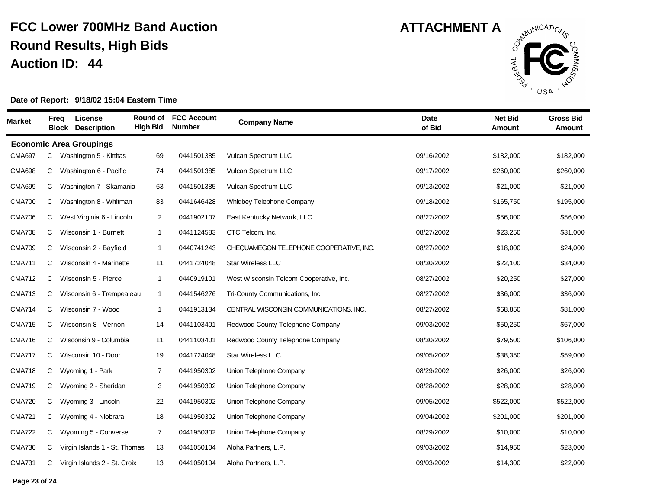

| <b>Market</b> | Freq | License<br><b>Block Description</b> | Round of<br><b>High Bid</b> | <b>FCC Account</b><br><b>Number</b> | <b>Company Name</b>                     | <b>Date</b><br>of Bid | <b>Net Bid</b><br><b>Amount</b> | <b>Gross Bid</b><br>Amount |
|---------------|------|-------------------------------------|-----------------------------|-------------------------------------|-----------------------------------------|-----------------------|---------------------------------|----------------------------|
|               |      | <b>Economic Area Groupings</b>      |                             |                                     |                                         |                       |                                 |                            |
| <b>CMA697</b> | С    | Washington 5 - Kittitas             | 69                          | 0441501385                          | Vulcan Spectrum LLC                     | 09/16/2002            | \$182,000                       | \$182,000                  |
| <b>CMA698</b> | С    | Washington 6 - Pacific              | 74                          | 0441501385                          | Vulcan Spectrum LLC                     | 09/17/2002            | \$260,000                       | \$260,000                  |
| <b>CMA699</b> | С    | Washington 7 - Skamania             | 63                          | 0441501385                          | Vulcan Spectrum LLC                     | 09/13/2002            | \$21,000                        | \$21,000                   |
| <b>CMA700</b> | C    | Washington 8 - Whitman              | 83                          | 0441646428                          | Whidbey Telephone Company               | 09/18/2002            | \$165,750                       | \$195,000                  |
| <b>CMA706</b> | С    | West Virginia 6 - Lincoln           | $\overline{2}$              | 0441902107                          | East Kentucky Network, LLC              | 08/27/2002            | \$56,000                        | \$56,000                   |
| <b>CMA708</b> | C    | Wisconsin 1 - Burnett               | $\mathbf{1}$                | 0441124583                          | CTC Telcom, Inc.                        | 08/27/2002            | \$23,250                        | \$31,000                   |
| <b>CMA709</b> | C    | Wisconsin 2 - Bayfield              | $\mathbf{1}$                | 0440741243                          | CHEQUAMEGON TELEPHONE COOPERATIVE, INC. | 08/27/2002            | \$18,000                        | \$24,000                   |
| <b>CMA711</b> | C    | Wisconsin 4 - Marinette             | 11                          | 0441724048                          | <b>Star Wireless LLC</b>                | 08/30/2002            | \$22,100                        | \$34,000                   |
| <b>CMA712</b> | C    | Wisconsin 5 - Pierce                | $\mathbf{1}$                | 0440919101                          | West Wisconsin Telcom Cooperative, Inc. | 08/27/2002            | \$20,250                        | \$27,000                   |
| <b>CMA713</b> | C    | Wisconsin 6 - Trempealeau           | $\mathbf{1}$                | 0441546276                          | Tri-County Communications, Inc.         | 08/27/2002            | \$36,000                        | \$36,000                   |
| <b>CMA714</b> | С    | Wisconsin 7 - Wood                  | $\mathbf{1}$                | 0441913134                          | CENTRAL WISCONSIN COMMUNICATIONS, INC.  | 08/27/2002            | \$68,850                        | \$81,000                   |
| <b>CMA715</b> | С    | Wisconsin 8 - Vernon                | 14                          | 0441103401                          | Redwood County Telephone Company        | 09/03/2002            | \$50,250                        | \$67,000                   |
| <b>CMA716</b> | C    | Wisconsin 9 - Columbia              | 11                          | 0441103401                          | Redwood County Telephone Company        | 08/30/2002            | \$79,500                        | \$106,000                  |
| <b>CMA717</b> | С    | Wisconsin 10 - Door                 | 19                          | 0441724048                          | <b>Star Wireless LLC</b>                | 09/05/2002            | \$38,350                        | \$59,000                   |
| <b>CMA718</b> | C    | Wyoming 1 - Park                    | 7                           | 0441950302                          | Union Telephone Company                 | 08/29/2002            | \$26,000                        | \$26,000                   |
| <b>CMA719</b> | C    | Wyoming 2 - Sheridan                | 3                           | 0441950302                          | Union Telephone Company                 | 08/28/2002            | \$28,000                        | \$28,000                   |
| <b>CMA720</b> | С    | Wyoming 3 - Lincoln                 | 22                          | 0441950302                          | Union Telephone Company                 | 09/05/2002            | \$522,000                       | \$522,000                  |
| <b>CMA721</b> | С    | Wyoming 4 - Niobrara                | 18                          | 0441950302                          | Union Telephone Company                 | 09/04/2002            | \$201,000                       | \$201,000                  |
| <b>CMA722</b> | C    | Wyoming 5 - Converse                | $\overline{7}$              | 0441950302                          | Union Telephone Company                 | 08/29/2002            | \$10,000                        | \$10,000                   |
| <b>CMA730</b> | C    | Virgin Islands 1 - St. Thomas       | 13                          | 0441050104                          | Aloha Partners, L.P.                    | 09/03/2002            | \$14,950                        | \$23,000                   |
| <b>CMA731</b> | С    | Virgin Islands 2 - St. Croix        | 13                          | 0441050104                          | Aloha Partners, L.P.                    | 09/03/2002            | \$14,300                        | \$22,000                   |